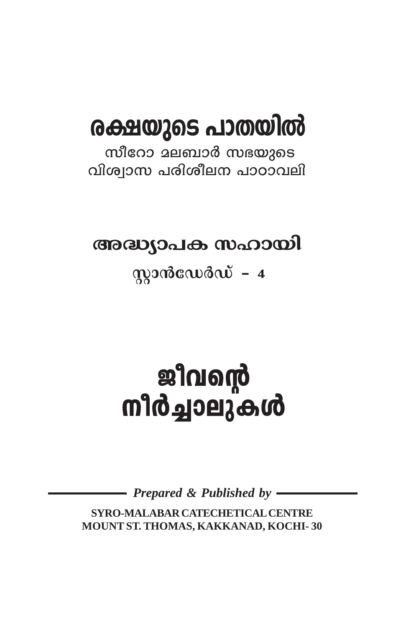# രക്ഷയുടെ പാതയിൽ

സീറോ മലബാർ സഭയുടെ വിശ്വാസ പരിശീലന പാഠാവലി

## അദ്ധ്യാപക സഹായി

## $q$ 2013  $q$ 2013 $q$  - 4

# ണിരച്ചാലുകൾ<br>സീർച്ചാലുകൾ

Prepared & Published by -

SYRO-MALABAR CATECHETICAL CENTRE MOUNT ST. THOMAS, KAKKANAD, KOCHI-30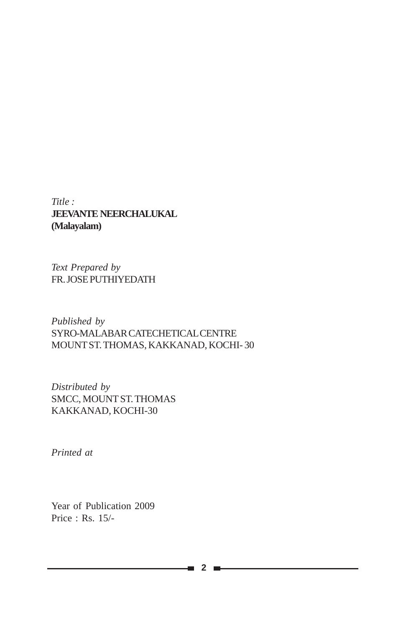*Title :* **JEEVANTE NEERCHALUKAL (Malayalam)**

*Text Prepared by* FR. JOSE PUTHIYEDATH

*Published by* SYRO-MALABAR CATECHETICAL CENTRE MOUNT ST. THOMAS, KAKKANAD, KOCHI- 30

*Distributed by* SMCC, MOUNT ST. THOMAS KAKKANAD, KOCHI-30

*Printed at*

Year of Publication 2009 Price : Rs. 15/-

a,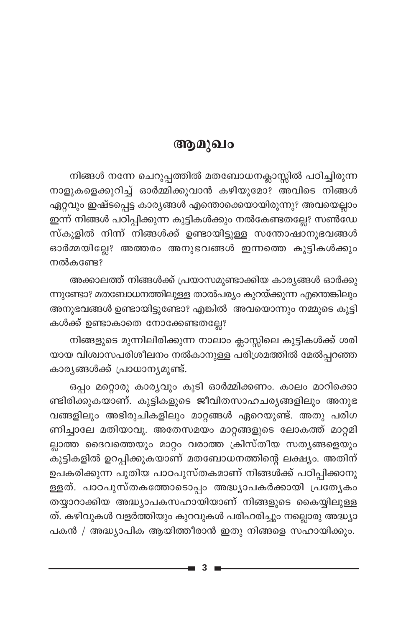#### ആമുഖം

നിങ്ങൾ നന്നേ ചെറുപ്പത്തിൽ മതബോധനക്ലാസ്സിൽ പഠിച്ചിരുന്ന നാളുകളെക്കുറിച്ച് ഓർമ്മിക്കുവാൻ കഴിയുമോ? അവിടെ നിങ്ങൾ ഏറ്റവും ഇഷ്ടപ്പെട്ട കാര്യങ്ങൾ എന്തൊക്കെയായിരുന്നു? അവയെല്ലാം ഇന്ന് നിങ്ങൾ പഠിപ്പിക്കുന്ന കുട്ടികൾക്കും നൽകേണ്ടതല്ലേ? സൺഡേ സ്കൂളിൽ നിന്ന് നിങ്ങൾക്ക് ഉണ്ടായിട്ടുള്ള സന്തോഷാനുഭവങ്ങൾ ഓർമ്മയില്ലേ? അത്തരം അനുഭവങ്ങൾ ഇന്നത്തെ കുട്ടികൾക്കും നൽകണ്ടേ?

അക്കാലത്ത് നിങ്ങൾക്ക് പ്രയാസമുണ്ടാക്കിയ കാര്യങ്ങൾ ഓർക്കു ന്നുണ്ടോ? മതബോധനത്തിലുള്ള താൽപര്യം കുറയ്ക്കുന്ന എന്തെങ്കിലും അനുഭവങ്ങൾ ഉണ്ടായിട്ടുണ്ടോ? എങ്കിൽ അവയൊന്നും നമ്മുടെ കുട്ടി കൾക്ക് ഉണ്ടാകാതെ നോക്കേണ്ടതല്ലേ?

നിങ്ങളുടെ മുന്നിലിരിക്കുന്ന നാലാം ക്ലാസ്സിലെ കുട്ടികൾക്ക് ശരി യായ വിശ്വാസപരിശീലനം നൽകാനുള്ള പരിശ്രമത്തിൽ മേൽപ്പറഞ്ഞ കാര്യങ്ങൾക്ക് പ്രാധാന്യമുണ്ട്.

ഒപ്പം മറ്റൊരു കാര്യവും കൂടി ഓർമ്മിക്കണം. കാലം മാറിക്കൊ ണ്ടിരിക്കുകയാണ്. കുട്ടികളുടെ ജീവിതസാഹചര്യങ്ങളിലും അനുഭ വങ്ങളിലും അഭിരുചികളിലും മാറ്റങ്ങൾ ഏറെയുണ്ട്. അതു പരിഗ ണിച്ചാലേ മതിയാവൂ. അതേസമയം മാറ്റങ്ങളുടെ ലോകത്ത് മാറ്റമി ല്ലാത്ത ദൈവത്തെയും മാറ്റം വരാത്ത ക്രിസ്തീയ സതൃങ്ങളെയും കുട്ടികളിൽ ഉറപ്പിക്കുകയാണ് മതബോധനത്തിന്റെ ലക്ഷ്യം. അതിന് ഉപകരിക്കുന്ന പുതിയ പാഠപുസ്തകമാണ് നിങ്ങൾക്ക് പഠിപ്പിക്കാനു ള്ളത്. പാഠപുസ്തകത്തോടൊപ്പം അദ്ധ്യാപകർക്കായി പ്രത്യേകം തയ്യാറാക്കിയ അദ്ധ്യാപകസഹായിയാണ് നിങ്ങളുടെ കൈയ്യിലുള്ള ത്. കഴിവുകൾ വളർത്തിയും കുറവുകൾ പരിഹരിച്ചും നല്ലൊരു അദ്ധ്യാ പകൻ / അദ്ധ്യാപിക ആയിത്തീരാൻ ഇതു നിങ്ങളെ സഹായിക്കും.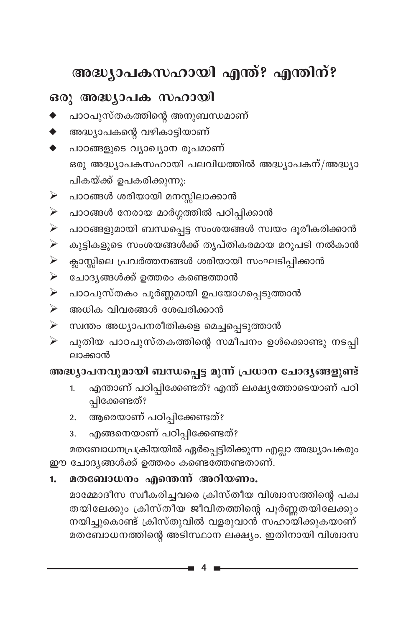## അദ്ധ്യാപകസഹായി എന്ത്? എന്തിന്?

#### ഒരു അദ്ധ്യാപക സഹായി

- പാഠപുസ്തകത്തിന്റെ അനുബന്ധമാണ്
- അദ്ധ്യാപകന്റെ വഴികാട്ടിയാണ്
- പാഠങ്ങളുടെ വ്യാഖ്യാന രൂപമാണ് ഒരു അദ്ധ്യാപകസഹായി പലവിധത്തിൽ അദ്ധ്യാപകന്/അദ്ധ്യാ പികയ്ക്ക് ഉപകരിക്കുന്നു:
- പാഠങ്ങൾ ശരിയായി മനസ്സിലാക്കാൻ  $\blacktriangleright$
- പാഠങ്ങൾ നേരായ മാർഗ്ഗത്തിൽ പഠിപ്പിക്കാൻ  $\blacktriangleright$
- പാഠങ്ങളുമായി ബന്ധപ്പെട്ട സംശയങ്ങൾ സ്വയം ദൂരീകരിക്കാൻ  $\blacktriangleright$
- കുട്ടികളുടെ സംശയങ്ങൾക്ക് തൃപ്തികരമായ മറുപടി നൽകാൻ ➤
- ക്ലാസ്സിലെ പ്രവർത്തനങ്ങൾ ശരിയായി സംഘടിപ്പിക്കാൻ ➤
- ചോദ്യങ്ങൾക്ക് ഉത്തരം കണ്ടെത്താൻ  $\blacktriangleright$
- പാഠപുസ്തകം പൂർണ്ണമായി ഉപയോഗപ്പെടുത്താൻ  $\blacktriangleright$
- അധിക വിവരങ്ങൾ ശേഖരിക്കാൻ  $\blacktriangleright$
- ≻ സ്വന്തം അധ്യാപനരീതികളെ മെച്ചപ്പെടുത്താൻ
- പുതിയ പാഠപുസ്തകത്തിന്റെ സമീപനം ഉൾക്കൊണ്ടു നടപ്പി ➤ ലാക്കാൻ

#### അദ്ധ്യാപനവുമായി ബന്ധപ്പെട്ട മൂന്ന് പ്രധാന ചോദ്യങ്ങളുണ്ട്

- എന്താണ് പഠിപ്പിക്കേണ്ടത്? എന്ത് ലക്ഷ്യത്തോടെയാണ് പഠി  $1<sub>1</sub>$ പ്പിക്കേണ്ടത്?
- 2. ആരെയാണ് പഠിപ്പിക്കേണ്ടത്?
- എങ്ങനെയാണ് പഠിപ്പിക്കേണ്ടത്?  $3.$

മതബോധനപ്രക്രിയയിൽ ഏർപ്പെട്ടിരിക്കുന്ന എല്ലാ അദ്ധ്യാപകരും ഈ ചോദ്യങ്ങൾക്ക് ഉത്തരം കണ്ടെത്തേണ്ടതാണ്.

#### മതബോധനം എന്തെന്ന് അറിയണം.  $1.$

മാമ്മോദീസ സ്വീകരിച്ചവരെ ക്രിസ്തീയ വിശ്വാസത്തിന്റെ പക്വ തയിലേക്കും ക്രിസ്തിയ ജീവിതത്തിന്റെ പൂർണ്ണതയിലേക്കും നയിച്ചുകൊണ്ട് ക്രിസ്തുവിൽ വളരുവാൻ സഹായിക്കുകയാണ് മതബോധനത്തിന്റെ അടിസ്ഥാന ലക്ഷ്യം. ഇതിനായി വിശ്വാസ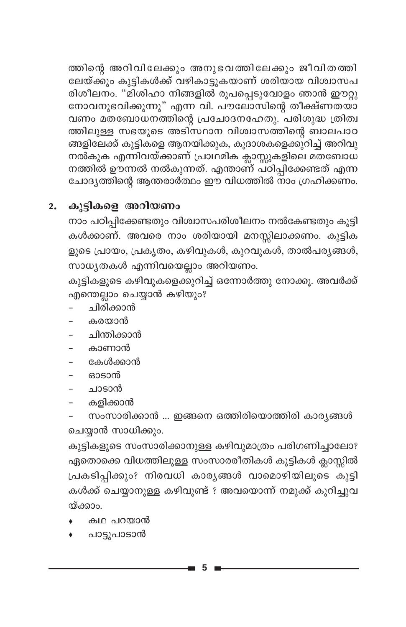ത്തിന്റെ അറിവിലേക്കും അനുഭവത്തിലേക്കും ജീവിതത്തി ലേയ്ക്കും കുട്ടികൾക്ക് വഴികാട്ടുകയാണ് ശരിയായ വിശ്വാസപ രിശീലനം. "മിശിഹാ നിങ്ങളിൽ രൂപപ്പെടുവോളം ഞാൻ ഈറ്റു നോവനുഭവിക്കുന്നു" എന്ന വി. പൗലോസിന്റെ തീക്ഷ്ണതയാ വണം മതബോധനത്തിന്റെ പ്രചോദനഹേതു. പരിശുദ്ധ ത്രിത്വ ത്തിലുള്ള സഭയുടെ അടിസ്ഥാന വിശ്വാസത്തിന്റെ ബാലപാഠ ങ്ങളിലേക്ക് കുട്ടികളെ ആനയിക്കുക, കൂദാശകളെക്കുറിച്ച് അറിവു നൽകുക എന്നിവയ്ക്കാണ് പ്രാഥമിക ക്ലാസ്സുകളിലെ മതബോധ നത്തിൽ ഊന്നൽ നൽകുന്നത്. എന്താണ് പ്ഠിപ്പിക്കേണ്ടത് എന്ന ചോദ്യത്തിന്റെ ആന്തരാർത്ഥം ഈ വിധത്തിൽ നാം ഗ്രഹിക്കണം.

#### കുട്ടികളെ അറിയണം  $2.$

നാം പഠിപ്പിക്കേണ്ടതും വിശ്വാസപരിശീലനം നൽകേണ്ടതും കുട്ടി കൾക്കാണ്. അവരെ നാം ശരിയായി മനസ്സിലാക്കണം. കുട്ടിക ളുടെ പ്രായം, പ്രകൃതം, കഴിവുകൾ, കുറവുകൾ, താൽപര്യങ്ങൾ, സാധ്യതകൾ എന്നിവയെല്ലാം അറിയണം.

കുട്ടികളുടെ കഴിവുകളെക്കുറിച്ച് ഒന്നോർത്തു നോക്കൂ. അവർക്ക് എന്തെല്ലാം ചെയ്യാൻ കഴിയും?

- ചിരിക്കാൻ
- കരയാൻ
- ചിന്തിക്കാൻ
- കാണാൻ
- കേൾക്കാൻ
- ഓടാൻ
- ചാടാൻ
- കളിക്കാൻ
- സംസാരിക്കാൻ ... ഇങ്ങനെ ഒത്തിരിയൊത്തിരി കാര്യങ്ങൾ ചെയ്യാൻ സാധിക്കും.

കുട്ടികളുടെ സംസാരിക്കാനുള്ള കഴിവുമാത്രം പരിഗണിച്ചാലോ? ഏതൊക്കെ വിധത്തിലുള്ള സംസാരരീതികൾ കുട്ടികൾ ക്ലാസ്സിൽ പ്രകടിപ്പിക്കും? നിരവധി കാര്യങ്ങൾ വാമൊഴിയിലൂടെ കുട്ടി കൾക്ക് ചെയ്യാനുള്ള കഴിവുണ്ട് ? അവയൊന്ന് നമുക്ക് കുറിച്ചുവ യ്ക്കാം.

- കഥ പറയാൻ
- പാട്ടുപാടാൻ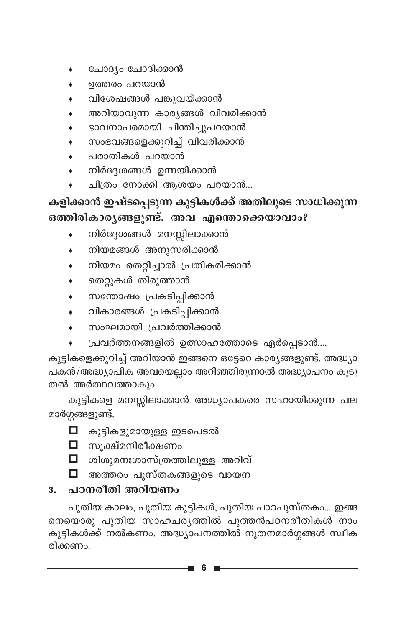- ചോദ്യം ചോദിക്കാൻ  $\bullet$
- ഉത്തരം പറയാൻ
- വിശേഷങ്ങൾ പങ്കുവയ്ക്കാൻ
- അറിയാവുന്ന കാര്യങ്ങൾ വിവരിക്കാൻ
- ഭാവനാപരമായി ചിന്തിച്ചുപറയാൻ
- സംഭവങ്ങളെക്കുറിച്ച് വിവരിക്കാൻ
- പരാതികൾ പറയാൻ
- നിർദ്ദേശങ്ങൾ ഉന്നയിക്കാൻ
- ചിത്രം നോക്കി ആശയം പറയാൻ...

#### കളിക്കാൻ ഇഷ്ടപ്പെടുന്ന കുട്ടികൾക്ക് അതിലൂടെ സാധിക്കുന്ന ഒത്തിരികാരൃങ്ങളുണ്ട്. അവ എന്തൊക്കെയാവാം?

- നിർദ്ദേശങ്ങൾ മനസ്സിലാക്കാൻ
- നിയമങ്ങൾ അനുസരിക്കാൻ  $\bullet$
- നിയമം തെറ്റിച്ചാൽ പ്രതികരിക്കാൻ
- തെറ്റുകൾ തിരുത്താൻ
- സന്തോഷം പ്രകടിപ്പിക്കാൻ
- വികാരങ്ങൾ പ്രകടിപ്പിക്കാൻ  $\bullet$
- സംഘമായി പ്രവർത്തിക്കാൻ
- പ്രവർത്തനങ്ങളിൽ ഉത്സാഹത്തോടെ ഏർപ്പെടാൻ....

കുട്ടികളെക്കുറിച്ച് അറിയാൻ ഇങ്ങനെ ഒട്ടേറെ കാര്യങ്ങളുണ്ട്. അദ്ധ്യാ പകൻ/അദ്ധ്യാപിക അവയെല്ലാം അറിഞ്ഞിരുന്നാൽ അദ്ധ്യാപനം കൂടു തൽ അർത്ഥവത്താകും.

കുട്ടികളെ മനസ്സിലാക്കാൻ അദ്ധ്യാപകരെ സഹായിക്കുന്ന പല മാർഗ്ഗങ്ങളുണ്ട്.

- □ കുട്ടികളുമായുള്ള ഇടപെടൽ
- ◘ സൂക്ഷ്മനിരീക്ഷണം
- $\Box$  ശിശുമനഃശാസ്ത്രത്തിലുള്ള അറിവ്
- ◘ അത്തരം പുസ്തകങ്ങളുടെ വായന

#### <u>3. പഠനരീതി അറിയണം</u>

പുതിയ കാലം, പുതിയ കുട്ടികൾ, പുതിയ പാഠപുസ്തകം... ഇങ്ങ നെയൊരു പുതിയ സാഹചര്യത്തിൽ പുത്തൻപഠനരീതികൾ നാം കുട്ടികൾക്ക് നൽകണം. അദ്ധ്യാപനത്തിൽ നൂതനമാർഗ്ഗങ്ങൾ സ്വീക രിക്കണം.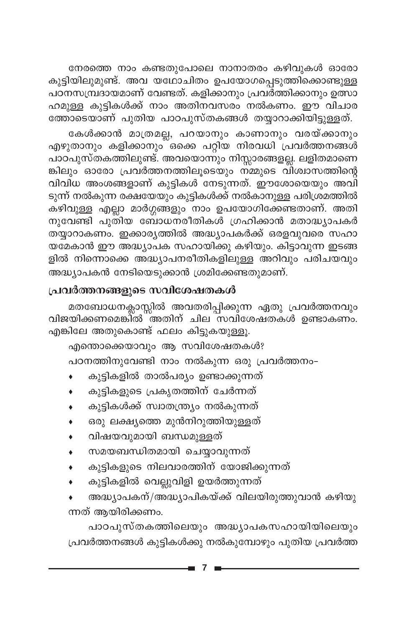നേരത്തെ നാം കണ്ടതുപോലെ നാനാതരം കഴിവുകൾ ഓരോ കുട്ടിയിലുമുണ്ട്. അവ യഥോചിതം ഉപയോഗപ്പെടുത്തിക്കൊണ്ടുള്ള പഠനസമ്പ്രദായമാണ് വേണ്ടത്. കളിക്കാനും പ്രവർത്തിക്കാനും ഉത്സാ ഹമുള്ള കുട്ടികൾക്ക് നാം അതിനവസരം നൽകണം. ഈ വിചാര ത്തോടെയാണ് പുതിയ പാഠപുസ്തകങ്ങൾ തയ്യാറാക്കിയിട്ടുള്ളത്.

കേൾക്കാൻ മാത്രമല്ല, പറയാനും കാണാനും വരയ്ക്കാനും എഴുതാനും കളിക്കാനും ഒക്കെ പറ്റിയ നിരവധി പ്രവർത്തനങ്ങൾ പാഠ്പുസ്തകത്തിലുണ്ട്. അവയൊന്നും നിസ്സാരങ്ങളല്ല. ലളിതമാണെ ങ്കിലും ഓരോ പ്രവർത്തനത്തിലൂടെയും ന്മ്മുടെ വിശ്വാസത്തിന്റെ വിവിധ അംശങ്ങളാണ് കുട്ടികൾ നേടുന്നത്. ഈശോയെയും അവി ടുന്ന് നൽകുന്ന രക്ഷയേയും കുട്ടികൾക്ക് നൽകാനുള്ള പരിശ്രമത്തിൽ കഴിവുള്ള എല്ലാ മാർഗ്ഗങ്ങളും നാം ഉപയോഗിക്കേണ്ടതാണ്. അതി  $\,$ നുവേണ്ടി പുതിയ ബോധനരീതികൾ ഗ്രഹിക്കാൻ മതാദ്ധ്യാപകർ തയ്യാറാകണം. ഇക്കാര്യത്തിൽ അദ്ധ്യാപകർക്ക് ഒരളവുവരെ സഹാ യമേകാൻ ഈ അദ്ധ്യാപക സഹായിക്കു കഴിയും. കിട്ടാവുന്ന ഇടങ്ങ ളിൽ നിന്നൊക്കെ അദ്ധ്യാപനരീതികളിലുള്ള അറിവും പരിചയവും അദ്ധ്യാപകൻ നേടിയെടുക്കാൻ ശ്രമിക്കേണ്ടതുമാണ്.

#### **പ്രവർത്തനങ്ങളുടെ സവിശേഷതകൾ**

മതബോധനക്ലാസ്സിൽ അവതരിപ്പിക്കുന്ന ഏതു പ്രവർത്തനവും വിജയിക്കണമെങ്കി്ത് ``അതിന് ചില<sup>്</sup>സവിശേഷതകൾ ഉണ്ടാകണം. എങ്കിലേ അതുകൊണ്ട് ഫലം കിട്ടുകയുള്ളൂ.

എന്തൊക്കെയാവും ആ സവിശേഷതകൾ? പഠനത്തിനുവേണ്ടി നാം നൽകുന്ന ഒരു പ്രവർത്തനം-

- കുട്ടികളിൽ താൽപര്യം ഉണ്ടാക്കുന്നത്
- കുട്ടികളുടെ പ്രകൃതത്തിന് ചേർന്നത്
- കുട്ടികൾക്ക് സ്വാതന്ത്ര്യ നൽകുന്നത്
- ഒരു ലക്ഷ്യത്തെ മുൻനിറുത്തിയുള്ളത്
- വിഷയവുമായി ബന്ധമുള്ളത്
- സമയബന്ധിതമായി ചെയ്യാവുന്നത്
- കുട്ടികളുടെ നിലവാരത്തിന് യോജിക്കുന്നത്
- കുട്ടികളിൽ വെല്ലുവിളി ഉയർത്തുന്നത്
- അദ്ധ്യാപകന്/അദ്ധ്യാപികയ്ക്ക് വിലയിരുത്തുവാൻ കഴിയു ന്നത് ആയിരിക്കണം.

പാഠപുസ്തകത്തിലെയും അദ്ധ്യാപകസഹായിയിലെയും (പവർത്തനങ്ങൾ കുട്ടികൾക്കു നൽകുമ്പോഴും പുതിയ പ്രവർത്ത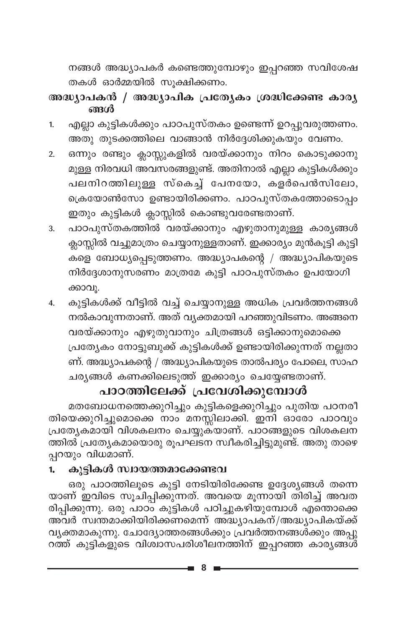നങ്ങൾ അദ്ധ്യാപകർ കണ്ടെത്തുമ്പോഴും ഇപ്പറഞ്ഞ സവിശേഷ തകൾ ഓർമ്മയിൽ സൂക്ഷിക്കണം.

#### അദ്ധ്യാപകൻ / അദ്ധ്യാപിക പ്രത്യേകം ശ്രദ്ധിക്കേണ്ട കാര്യ ങ്ങൾ

- എല്ലാ കുട്ടികൾക്കും പാഠപുസ്തകം ഉണ്ടെന്ന് ഉറപ്പുവരുത്തണം.  $1.$ അതു തുടക്കത്തിലെ വാങ്ങാൻ നിർദ്ദേശിക്കുകയും വേണം.
- ഒന്നും രണ്ടും ക്ലാസ്സുകളിൽ വരയ്ക്കാനും നിറം കൊടുക്കാനു  $2.$ മുള്ള നിരവധി അവസരങ്ങളുണ്ട്. അതിനാൽ എല്ലാ കുട്ടികൾക്കും പലനിറത്തിലുള്ള സ്കെച്ച് പേനയോ, കളർപെൻസിലോ, ക്രെയോൺസോ ഉണ്ടായിരിക്കണം. പാഠപുസ്തകത്തോടൊപ്പം ഇതും കുട്ടികൾ ക്ലാസ്സിൽ കൊണ്ടുവരേണ്ടതാണ്.
- പാഠപുസ്തകത്തിൽ വരയ്ക്കാനും എഴുതാനുമുള്ള കാര്യങ്ങൾ  $3.$ ക്ലാസ്സിൽ വച്ചുമാത്രം ചെയ്യാനുള്ളതാണ്. ഇക്കാര്യം മുൻകൂട്ടി കുട്ടി കളെ ബോധ്യപ്പെടുത്തണം. അദ്ധ്യാപകന്റെ / അദ്ധ്യാപികയുടെ നിർദ്ദേശാനുസരണം മാത്രമേ കുട്ടി പാഠപുസ്തകം ഉപയോഗി ക്കാവൂ.
- കുട്ടികൾക്ക് വീട്ടിൽ വച്ച് ചെയ്യാനുള്ള അധിക പ്രവർത്തനങ്ങൾ 4. നൽകാവുന്നതാണ്. അത് വ്യക്തമായി പറഞ്ഞുവിടണം. അങ്ങനെ വരയ്ക്കാനും എഴുതുവാനും ചിത്രങ്ങൾ ഒട്ടിക്കാനുമൊക്കെ പ്രത്യേകം നോട്ടുബുക്ക് കുട്ടികൾക്ക് ഉണ്ടായിരിക്കുന്നത് നല്ലതാ

ണ്. അദ്ധ്യാപകന്റെ / അദ്ധ്യാപികയുടെ താൽപര്യം പോലെ, സാഹ ചര്യങ്ങൾ കണക്കിലെടുത്ത് ഇക്കാര്യം ചെയ്യേണ്ടതാണ്.

#### പാഠത്തിലേക്ക് പ്രവേശിക്കുമ്പോൾ

മതബോധനത്തെക്കുറിച്ചും കുട്ടികളെക്കുറിച്ചും പുതിയ പഠനരീ തിയെക്കുറിച്ചുമൊക്കെ നാം് മനസ്സിലാക്കി. ഇനി ഓരോ പാഠവും പ്രത്യേകമായി വിശകലനം ചെയ്യുക്യാണ്. പാഠങ്ങളുടെ വിശകലന ത്തിൽ പ്രത്യേകമായൊരു രൂപഘടന സ്വീകരിച്ചിട്ടുമുണ്ട്. അതു താഴെ പ്പറയും വിധമാണ്.

#### കുട്ടികൾ സ്വായത്തമാക്കേണ്ടവ 1.

ഒരു പാഠത്തിലൂടെ കുട്ടി നേടിയിരിക്കേണ്ട ഉദ്ദേശ്യങ്ങൾ തന്നെ യാണ് ഇവിടെ സൂചിപ്പിക്കുന്നത്. അവയെ മൂന്നായി തിരിച്ച് അവത രിപ്പിക്കുന്നു. ഒരു പാഠ്പ് കുട്ടികൾ പഠിച്ചുകഴിയുമ്പോൾ എന്തൊക്കെ അവർ സ്വന്തമാക്കിയിരിക്കണമെന്ന് അദ്ധ്യാപകന്/അദ്ധ്യാപികയ്ക്ക് വ്യക്തമാകുന്നു. ചോദ്യോത്തരങ്ങൾക്കും പ്രവർത്തനങ്ങൾക്കും അപ്പു റത്ത് കുട്ടികളുടെ വിശ്വാസപരിശീലനത്തിന് ഇപ്പറഞ്ഞ കാര്യങ്ങൾ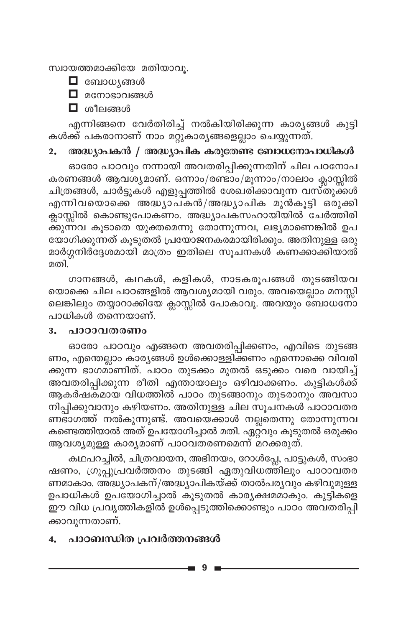സ്വായത്തമാക്കിയേ മതിയാവു.



 $\Box$  മനോഭാവങ്ങൾ

 $\Box$  ശീലങ്ങൾ

എന്നിങ്ങനെ വേർതിരിച്ച് നൽകിയിരിക്കുന്ന കാര്യങ്ങൾ കുട്ടി കൾക്ക് പകരാനാണ് നാം മറ്റുകാര്യങ്ങളെല്ലാം ചെയ്യുന്നത്.

#### അദ്ധ്യാപകൻ / അദ്ധ്യാപിക കരുതേണ്ട ബോധനോപാധികൾ  $2.$

ഓരോ പാഠവും നന്നായി അവതരിപ്പിക്കുന്നതിന് ചില പഠനോപ കരണങ്ങൾ ആവശ്യമാണ്. ഒന്നാം/രണ്ടാം/മൂന്നാം/നാലാം ക്ലാസ്സിൽ ചിത്രങ്ങൾ, ചാർട്ടുകൾ എളുപ്പത്തിൽ ശേഖരിക്കാവുന്ന വസ്തുക്കൾ എന്നിവയൊക്കെ അദ്ധ്യാപ്കൻ/അദ്ധ്യാപിക മുൻകൂട്ടി ഒരുക്കി ക്ലാസ്സിൽ കൊണ്ടുപോകണം. അദ്ധ്യാപകസഹായിയിൽ ചേർത്തിരി ക്കുന്നവ കൂടാതെ യുക്തമെന്നു തോന്നുന്നവ, ലഭ്യമാണെങ്കിൽ ഉപ യോഗിക്കുന്നത് കൂടുതൽ പ്രയോജനകരമായിരിക്കും. അതിനുള്ള ഒരു മാർഗ്ഗനിർദ്ദേശമായി മാത്രം ഇതിലെ സൂചനകൾ കണക്കാക്കിയാൽ മതി.

ഗാനങ്ങൾ, കഥകൾ, കളികൾ, നാടകരൂപങ്ങൾ തുടങ്ങിയവ യൊക്കെ ചില പാഠങ്ങളിൽ ആവശ്യമായി വരും. അവയെല്ലാം മനസ്സി ലെങ്കിലും തയ്യാറാക്കിയേ ക്ലാസ്സിൽ പോകാവൂ. അവയും ബോധനോ പാധികൾ തന്നെയാണ്.

#### $3.$ പാഠാവതരണം

ഓരോ പാഠവും എങ്ങനെ അവതരിപ്പിക്കണം, എവിടെ തുടങ്ങ ണം, എന്തെല്ലാം കാര്യങ്ങൾ ഉൾക്കൊള്ളിക്കണം എന്നൊക്കെ വിവരി ക്കുന്ന ഭാഗമാണിത്. പാഠം തുടക്കം മുതൽ ഒടുക്കം വരെ വായിച്ച് അവതരിപ്പിക്കുന്ന രീതി എന്തായാലും ഒഴിവാക്കണം. കുട്ടികൾക്ക് ആകർഷകമായ വിധത്തിൽ പാഠം തുടങ്ങാനും തുടരാനും അവസാ നിപ്പിക്കുവാനും കഴിയണം. അതിനുള്ള ചില സൂചനകൾ പാഠാവതര ണഭാഗത്ത് നൽകുന്നുണ്ട്. അവയെക്കാൾ നല്ലതെന്നു തോന്നുന്നവ കണ്ടെത്തിയാൽ അത് ഉപയോഗിച്ചാൽ മതി. ഏറ്റ്വും കൂടുതൽ ഒരുക്കം ആവശ്യമുള്ള കാര്യമാണ് പാഠവതരണമെന്ന് മറക്കരുത്.

കഥപറച്ചിൽ, ചിത്രവായന, അഭിനയം, റോൾപ്ലേ, പാട്ടുകൾ, സംഭാ ഷണം, ഗ്രൂപ്പുപ്രവർത്തനം തുടങ്ങി ഏതുവിധത്തിലും പാഠാവതര ണമാകാം. അദ്ധ്യാപകന്/അദ്ധ്യാപികയ്ക്ക് താൽപര്യവും കഴിവുമുള്ള ഉപാധികൾ ഉപയോഗിച്ചാൽ കൂടുതൽ കാര്യക്ഷമമാകും. കുട്ടികളെ ഈ വിധ പ്രവൃത്തികളിൽ ഉൾപ്പെടുത്തിക്കൊണ്ടും പാഠം അവതരിപ്പി ക്കാവുന്നതാണ്.

#### പാഠബന്ധിത പ്രവർത്തനങ്ങൾ  $\overline{4}$ .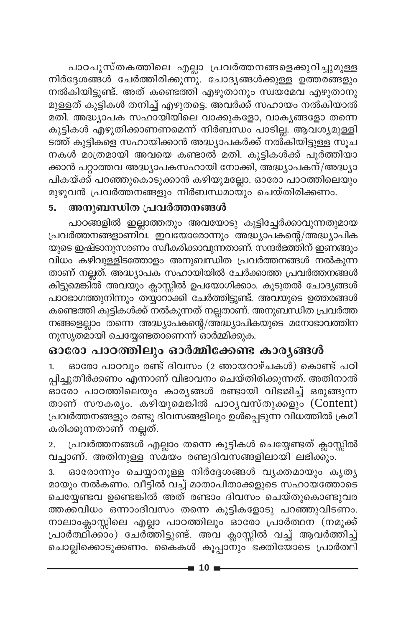പാഠപുസ്തകത്തിലെ എല്ലാ പ്രവർത്തനങ്ങളെക്കുറിച്ചുമുള്ള നിർദ്ദേശങ്ങൾ ചേർത്തിരിക്കുന്നു. ചോദ്യങ്ങൾക്കുള്ള ഉത്തരങ്ങളും നൽകിയിട്ടുണ്ട്. അത് കണ്ടെത്തി എഴുതാനും സ്വയമേവ എഴുതാനു മുള്ളത് കുട്ടികൾ തനിച്ച് എഴുതട്ടെ. അവർക്ക് സഹായം നൽകിയാൽ മതി. അദ്ധ്യാപക സഹായിയിലെ വാക്കുകളോ, വാക്യങ്ങളോ തന്നെ കുട്ടികൾ എഴുതിക്കാണണമെന്ന് നിർബന്ധം പാടില്ല. ആവശ്യമുള്ളി ടത്ത് കുട്ടികളെ സഹായിക്കാൻ അദ്ധ്യാപകർക്ക് നൽ്കിയിട്ടുള്ള സൂച നകൾ മാത്രമായി അവയെ കണ്ടാൽ മതി. കുട്ടികൾക്ക് പൂർത്തിയാ ക്കാൻ പറ്റാത്തവ അദ്ധ്യാപകസഹായി നോക്കി, അദ്ധ്യാപകന്/അദ്ധ്യാ പികയ്ക്ക് പറഞ്ഞുകൊടുക്കാൻ കഴിയുമല്ലോ. ഓരോ പാഠത്തിലെയും മുഴുവൻ പ്രവർത്തനങ്ങളും നിർബന്ധമായും ചെയ്തിരിക്കണം.

#### അനുബന്ധിത പ്രവർത്തനങ്ങൾ 5.

പാഠങ്ങളിൽ ഇല്ലാത്തതും അവയോടു കൂട്ടിച്ചേർക്കാവുന്നതുമായ പ്രവർത്തനങ്ങളാണിവ. ഇവയോരോന്നും അദ്ധ്യാപകന്റെ/അദ്ധ്യാപിക യുടെ ഇഷ്ടാനുസരണം സ്ഥീകരിക്കാവുന്നതാണ്. സന്ദർഭത്തിന് ഇണങ്ങും വിധം കഴിവുള്ളിടത്തോളം അനുബന്ധിത പ്രവർത്തനങ്ങൾ നൽകുന്ന താണ് നല്ലത്. അദ്ധ്യാപക സഹായിയിൽ ചേർക്കാത്ത പ്രവർത്തനങ്ങൾ കിട്ടുമെങ്കിൽ അവയും ക്ലാസ്സിൽ ഉപയോഗിക്കാം. കൂടുതൽ ചോദ്യങ്ങൾ പാഠഭാഗത്തുനിന്നും തയ്യാറാക്കി ചേർത്തിട്ടുണ്ട്. അവയുടെ ഉത്തരങ്ങൾ കണ്ടെത്തി കുട്ടികൾക്ക് നൽകുന്നത് നല്ലതാണ്. അനുബന്ധിത പ്രവർത്ത നങ്ങളെല്ലാം തന്നെ അദ്ധ്യാപകന്റെ/അദ്ധ്യാപികയുടെ മനോഭാവത്തിന നുസൃതമായി ചെയ്യേണ്ടതാണെന്ന് ഓർമ്മിക്കുക.

#### ഓരോ പാഠത്തിലും ഓർമ്മിക്കേണ്ട കാരൃങ്ങൾ

ഓരോ പാഠവും രണ്ട് ദിവസം (2 ഞായറാഴ്ചകൾ) കൊണ്ട് പഠി പ്പിച്ചുതീർക്കണം എന്നാണ് വിഭാവനം ചെയ്തിരിക്കുന്നത്. അതിനാൽ ഓരോ പാഠത്തിലെയും കാര്യങ്ങൾ രണ്ടായി വിഭജിച്ച് ഒരുങ്ങുന്ന താണ് സൗകര്യം. കഴിയുമെങ്കിൽ പാഠൃവസ്തുക്കളും (Content) പ്രവർത്തനങ്ങളും രണ്ടു ദിവസങ്ങളിലും ഉൾപ്പെടുന്ന വിധത്തിൽ ക്രമീ കരിക്കുന്നതാണ് നല്ലത്.

പ്രവർത്തനങ്ങൾ എല്ലാം തന്നെ കുട്ടികൾ ചെയ്യേണ്ടത് ക്ലാസ്സിൽ  $2.$ വച്ചാണ്. അതിനുള്ള സമയം രണ്ടുദിവസങ്ങളിലായി ലഭിക്കും.

ഓരോന്നും ചെയ്യാനുള്ള നിർദ്ദേശങ്ങൾ വ്യക്തമായും കൃത്യ 3. മായും നൽകണം. വീട്ടിൽ വച്ച് മാതാപിതാക്കളുടെ സഹായത്തോടെ ചെയ്യേണ്ടവ ഉണ്ടെങ്കിൽ അത് രണ്ടാം ദിവസം ചെയ്തുകൊണ്ടുവര ത്തക്കവിധം ഒന്നാംദിവസം തന്നെ കുട്ടികളോടു പറഞ്ഞുവിടണം. നാലാംക്ലാസ്സിലെ എല്ലാ പാഠത്തിലും ഓരോ പ്രാർത്ഥന (നമുക്ക് പ്രാർത്ഥിക്കാം) ചേർത്തിട്ടുണ്ട്. അവ ക്ലാസ്സിൽ വച്ച് ആവർത്തിച്ച് ചൊല്ലിക്കൊടുക്കണം. കൈകൾ കൂപ്പാനും ഭക്തിയോടെ പ്രാർത്ഥി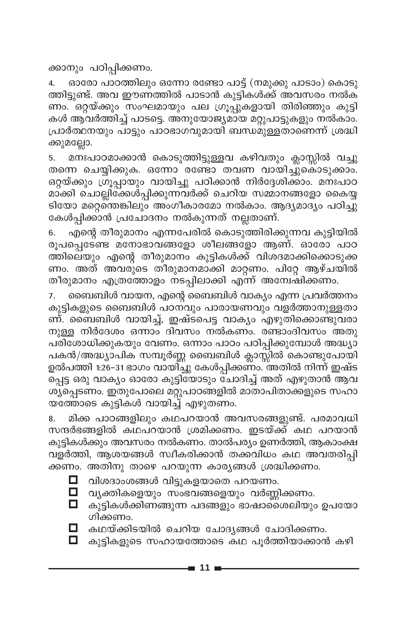ക്കാനും പഠിപ്പിക്കണം.

ഓരോ പാഠത്തിലും ഒന്നോ രണ്ടോ പാട്ട് (നമുക്കു പാടാം) കൊടു  $\overline{4}$ . ത്തിട്ടുണ്ട്. അവ ഈണത്തിൽ പാടാൻ കുട്ടികൾക്ക് അവസരം നൽക ണം. ഒറ്റയ്ക്കും സംഘമായും പല ഗ്രൂപ്പുകളായി തിരിഞ്ഞും കുട്ടി കൾ ആവർത്തിച്ച് പാടട്ടെ. അനുയോജ്യമായ മറ്റുപാട്ടുകളും നൽകാം. പ്രാർത്ഥനയും പാട്ടും പാഠഭാഗവുമായി ബന്ധമുള്ളതാണെന്ന് ശ്രദ്ധി ക്കുമല്ലോ.

മനഃപാഠമാക്കാൻ കൊടുത്തിട്ടുള്ളവ കഴിവതും ക്ലാസ്സിൽ വച്ചു 5. തന്നെ ചെയ്യിക്കുക. ഒന്നോ രണ്ടോ തവണ വായിച്ചുകൊടുക്കാം. ഒറ്റയ്ക്കും ഗ്രൂപ്പായും വായിച്ചു പഠിക്കാൻ നിർദ്ദേശിക്കാം. മനഃപാഠ മാക്കി ചൊല്ലിക്കേൾപ്പിക്കുന്നവർക്ക് ചെറിയ സമ്മാനങ്ങളോ കൈയ്യ ടിയോ മറ്റെന്തെങ്കിലും അംഗീകാരമോ നൽകാം. ആദ്യമാദ്യം പഠിച്ചു കേൾപ്പിക്കാൻ പ്രചോദനം നൽകുന്നത് നല്ലതാണ്.

എന്റെ തീരുമാനം എന്നപേരിൽ കൊടുത്തിരിക്കുന്നവ കുട്ടിയിൽ 6. രൂപപ്പെടേണ്ട മനോഭാവങ്ങളോ ശീലങ്ങളോ ആണ്. ഓരോ പാഠ ത്തിലെയും എന്റെ തീരുമാനം കുട്ടികൾക്ക് വിശദമാക്കിക്കൊടുക്ക ണം. അത് അവരുടെ തീരുമാനമാക്കി മാറ്റണം. പിറ്റേ ആഴ്ചയിൽ തീരുമാനം എത്രത്തോളം നടപ്പിലാക്കി എന്ന് അന്വേഷിക്കണം.

ബൈബിൾ വായന, എന്റെ ബൈബിൾ വാക്യം എന്ന പ്രവർത്തനം 7. കുട്ടികളുടെ ബൈബിൾ പഠനവും പാരായണവും വളർത്താനുള്ളതാ ണ്. ബൈബിൾ വായിച്ച്, ഇഷ്ടപെട്ട വാക്യം എഴുതിക്കൊണ്ടുവരാ നുള്ള നിർദേശം ഒന്നാം ദിവസം നൽകണം. രണ്ടാംദിവസം അതു പരിശോധിക്കുകയും വേണം. ഒന്നാം പാഠം പഠിപ്പിക്കുമ്പോൾ അദ്ധ്യാ പകൻ/അദ്ധ്യാപിക സമ്പൂർണ്ണ ബൈബിൾ ക്ലാസ്സിൽ കൊണ്ടുപോയി ഉൽപത്തി 1:26–31 ഭാഗം വായി്ച്ചു കേൾപ്പിക്കണം. അതിൽ നിന്ന് ഇഷ്ട പ്പെട്ട ഒരു വാക്യം ഓരോ കുട്ടിയോടും ചോദിച്ച് അത് എഴുതാൻ ആവ ശ്യപ്പെടണം. ഇതുപോലെ മറ്റുപാഠങ്ങളിൽ മാതാപിതാക്കളുടെ സഹാ യത്തോടെ കുട്ടികൾ വായിച്ച് എഴുതണം.

മിക്ക പാഠങ്ങളിലും കഥപറയാൻ അവസരങ്ങളുണ്ട്. പരമാവധി 8. സന്ദർഭങ്ങളിൽ കഥപറയാൻ ശ്രമിക്കണം. ഇടയ്ക്ക് കഥ പറയാൻ കുട്ടികൾക്കും അവസരം നൽകണം. താൽപര്യം ഉണർത്തി, ആകാംക്ഷ വളർത്തി, ആശയങ്ങൾ സ്ഥീകരിക്കാൻ തക്കവിധം കഥ അവതരിപ്പി ക്കണം. അതിനു താഴെ പറയുന്ന കാര്യങ്ങൾ ശ്രദ്ധിക്കണം.

വിശദാംശങ്ങൾ വിട്ടുകളയാതെ പറയണം.

- $\Box$  വ്യക്തികളെയും സംഭവങ്ങളെയും വർണ്ണിക്കണം.
- $\Box$  കുട്ടികൾക്കിണങ്ങുന്ന പദങ്ങളും ഭാഷാശൈലിയും ഉപയോ ഗിക്കണം.
- 

 $\Box$  കഥയ്ക്കിടയിൽ ചെറിയ ചോദ്യങ്ങൾ ചോദിക്കണം.

 $\Box$  കുട്ടികളുടെ സഹായത്തോടെ കഥ പൂർത്തിയാക്കാൻ കഴി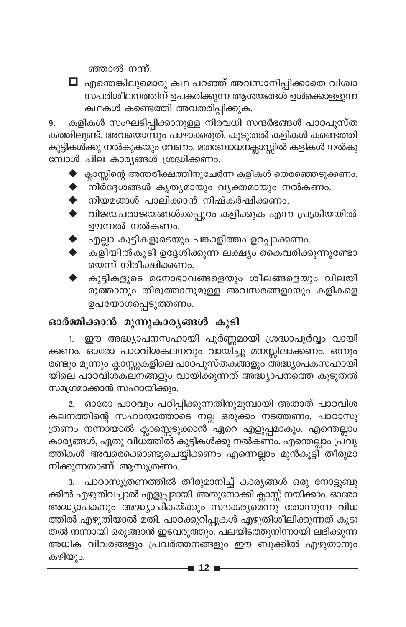ഞ്ഞാൽ നന്ന്.



 $\Box$  എന്തെങ്കിലുമൊരു കഥ പറഞ്ഞ് അവസാനിപ്പിക്കാതെ വിശ്വാ ...<br>സപരിശീലനത്തിന് ഉപകരിക്കുന്ന ആശയങ്ങൾ ഉൾക്കൊള്ളുന്ന കഥകൾ കണ്ടെത്തി അവതരിപ്പിക്കുക.

കളികൾ സംഘടിപ്പിക്കാനുള്ള നിരവധി സന്ദർഭങ്ങൾ പാഠപുസ്ത 9. കത്തിലുണ്ട്. അവയൊന്നും പാഴാക്കരുത്. കൂടുതൽ കളികൾ കണ്ടെത്തി കുട്ടികൾക്കു നൽകുകയും വേണം. മത്ബോധനക്ലാസ്സിൽ കളികൾ നൽകു മ്പോൾ ചില കാര്യങ്ങൾ ശ്രദ്ധിക്കണം.

- $\blacklozenge$  ക്ലാസ്സിന്റെ അന്തരീക്ഷത്തിനുചേർന്ന കളികൾ തെരഞ്ഞെടുക്കണം.
- $\blacklozenge$  നിർദ്ദേശങ്ങൾ കൃത്യമായും വ്യക്തമായും നൽകണം.
- ▶ നിയമങ്ങൾ പാലിക്കാൻ നിഷ്കർഷിക്കണം.
- വിജയപരാജയങ്ങൾക്കപ്പുറം കളിക്കുക എന്ന പ്രക്രിയയിൽ ഊന്നൽ നൽകണം.
- എല്ലാ കുട്ടികളുടെയും പങ്കാളിത്തം ഉറപ്പാക്കണം.
- കളിയിൽകൂടി ഉദ്ദേശിക്കുന്ന ലക്ഷ്യം കൈവരിക്കുന്നുണ്ടോ യെന്ന് നിരീക്ഷിക്കണം.
- കുട്ടികളുടെ മനോഭാവങ്ങളെയും ശീലങ്ങളെയും വിലയി രുത്താനും തിരുത്താനുമുള്ള അവസരങ്ങളായും കളികളെ ഉപയോഗപ്പെടുത്തണം.

#### ഓർമ്മിക്കാൻ മൂന്നുകാര്യങ്ങൾ കൂടി

1. ഈ അദ്ധ്യാപനസഹായി പൂർണ്ണമായി ശ്രദ്ധാപൂർവ്വം വായി ക്കണം. ഓരോ പാഠവിശകലനവും വായിച്ചു മനസ്സിലാക്കണം. ഒന്നും രണ്ടും മൂന്നും ക്ലാസ്സുകളിലെ പാഠപുസ്തകങ്ങളും അദ്ധ്യാപകസഹായി യിലെ പാഠവിശ്കലനങ്ങളും വായിക്കുന്നത് അദ്ധ്യാപനത്തെ കൂടുതൽ സമഗ്രമാക്കാൻ സഹായിക്കും.

2. ഓരോ പാഠവും പഠിപ്പിക്കുന്നതിനുമുമ്പായി അതാത് പാഠവിശ കലനത്തിന്റെ സഹായത്തോടെ നല്ല ഒരുക്കം നടത്തണം. പാഠാസൂ ത്രണം നന്നായാൽ ക്ലാസ്സെടുക്കാൻ ഏറെ എളുപ്പമാകും. എന്തെല്ലാം കാര്യങ്ങൾ, ഏതു വിധ്ത്തിൽ കുട്ടികൾക്കു നൽകണം. എന്തെല്ലാം പ്രവൃ ത്തികൾ അവരെക്കൊണ്ടുചെയ്യിക്കണം എന്നെല്ലാം മുൻകൂട്ടി തീരുമാ നിക്കുന്നതാണ് ആസൂത്രണം.

പാഠാസൂത്രണത്തിൽ തീരുമാനിച്ച് കാര്യങ്ങൾ ഒരു നോട്ടുബു 3. ക്കിൽ എഴുതിവച്ചാൽ എളുപ്പമായി. അതുനോക്കി ക്ലാസ്സ് നയിക്കാം. ഓരോ അദ്ധ്യാപകനും അദ്ധ്യാപികയ്ക്കും സൗകര്യമെന്നു തോന്നുന്ന വിധ ത്തിൽ എഴുതിയാൽ മതി. പാഠക്കുറിപ്പുകൾ എഴുതിശീലിക്കുന്നത് കൂടു തൽ നന്നായി ഒരുങ്ങാൻ ഇടവരുത്തും. പലയിടത്തുനിന്നായി ലഭിക്കുന്ന അധിക വിവരങ്ങളും പ്രവർത്തനങ്ങളും ഈ ബുക്കിൽ എഴുതാനും കഴിയും.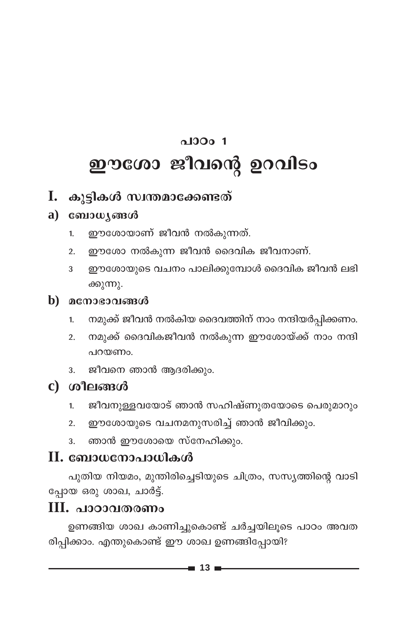# $0.0001$ ഈശോ ജീവന്റെ ഉറവിടം

#### I. കൂട്ടികൾ സ്വന്തമാക്കേണ്ടത്

#### a)  $\cos\omega$   $\sin\omega$

- ഈശോയാണ് ജീവൻ നൽകുന്നത്.  $1<sub>1</sub>$
- ഈശോ നൽകുന്ന ജീവൻ ദൈവിക ജീവനാണ്.  $2.$
- ഈശോയുടെ വചനം പാലിക്കുമ്പോൾ ദൈവിക ജീവൻ ലഭി 3 ക്കുന്നു.
- $\mathbf b$ ) മനോഭാവങ്ങൾ
	- നമുക്ക് ജീവൻ നൽകിയ ദൈവത്തിന് നാം നന്ദിയർപ്പിക്കണം.  $\mathbf{1}$
	- നമുക്ക് ദൈവികജീവൻ നൽകുന്ന ഈശോയ്ക്ക് നാം നന്ദി  $\overline{2}$ . പറയണം.
	- ജീവനെ ഞാൻ ആദരിക്കും. 3.
- c) ശീലങ്ങൾ
	- ജീവനുള്ളവയോട് ഞാൻ സഹിഷ്ണുതയോടെ പെരുമാറും 1.
	- ഈശോയുടെ വചനമനുസരിച്ച് ഞാൻ ജീവിക്കും.  $\overline{2}$ .
	- ഞാൻ ഈശോയെ സ്നേഹിക്കും. 3.

#### $\mathbf H$ . ബോധനോപാധികൾ

പുതിയ നിയമം, മുന്തിരിച്ചെടിയുടെ ചിത്രം, സസ്യത്തിന്റെ വാടി പ്പോയ ഒരു ശാഖ, ചാർട്ട്.

#### $III.$  പാഠാവതരണം

ഉണങ്ങിയ ശാഖ കാണിച്ചുകൊണ്ട് ചർച്ചയിലൂടെ പാഠം അവത രിപ്പിക്കാം. എന്തുകൊണ്ട് ഈ ശാഖ ഉണങ്ങിപ്പോയി?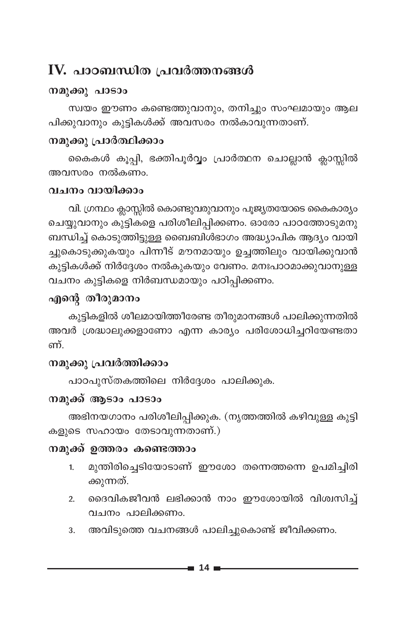## IV. പാഠബന്ധിത പ്രവർത്തനങ്ങൾ

#### നമുക്കു പാടാം

സ്വയം ഈണം കണ്ടെത്തുവാനും, തനിച്ചും സംഘമായും ആല പിക്കുവാനും കുട്ടികൾക്ക് അവസരം നൽകാവുന്നതാണ്.

#### നമുക്കു പ്രാർത്ഥിക്കാം

കൈകൾ കൂപ്പി, ഭക്തിപൂർവ്വം പ്രാർത്ഥന ചൊല്ലാൻ ക്ലാസ്സിൽ അവസരം നൽകണം.

#### വചനം വായിക്കാം

വി. ഗ്രന്ഥം ക്ലാസ്സിൽ കൊണ്ടുവരുവാനും പൂജ്യതയോടെ കൈകാര്യം ചെയ്യുവാനും കുട്ടികളെ പരിശീലിപ്പിക്കണം. ഓരോ പാഠത്തോടുമനു ബന്ധിച്ച് കൊടുത്തിട്ടുള്ള ബൈബിൾഭാഗം അദ്ധ്യാപിക ആദ്യം വായി ച്ചുകൊടുക്കുകയും പിന്നീട് മൗനമായും ഉച്ചത്തിലും വായിക്കുവാൻ കുട്ടികൾക്ക് നിർദ്ദേശം നൽകുകയും വേണം. മനഃപാഠമാക്കുവാനുള്ള വചനം കുട്ടികളെ നിർബന്ധമായും പഠിപ്പിക്കണം.

#### എന്റെ തീരുമാനം

കൂട്ടികളിൽ ശീലമായിത്തീരേണ്ട തീരുമാനങ്ങൾ പാലിക്കുന്നതിൽ അവർ ശ്രദ്ധാലുക്കളാണോ എന്ന കാര്യം പരിശോധിച്ചറിയേണ്ടതാ ണ്

#### നമുക്കു പ്രവർത്തിക്കാം

പാഠപുസ്തകത്തിലെ നിർദ്ദേശം പാലിക്കുക.

#### നമുക്ക് ആടാം പാടാം

അഭിനയഗാനം പരിശീലിപ്പിക്കുക. (നൃത്തത്തിൽ കഴിവുള്ള കുട്ടി കളുടെ സഹായം തേടാവുന്നതാണ്.)

#### നമുക്ക് ഉത്തരം കണ്ടെത്താം

- മുന്തിരിച്ചെടിയോടാണ് ഈശോ തന്നെത്തന്നെ ഉപമിച്ചിരി 1. ക്കുന്നത്.
- ദൈവികജീവൻ ലഭിക്കാൻ നാം ഈശോയിൽ വിശ്വസിച്ച്  $2.$ വചനം പാലിക്കണം.
- അവിടുത്തെ വചനങ്ങൾ പാലിച്ചുകൊണ്ട് ജീവിക്കണം.  $3.$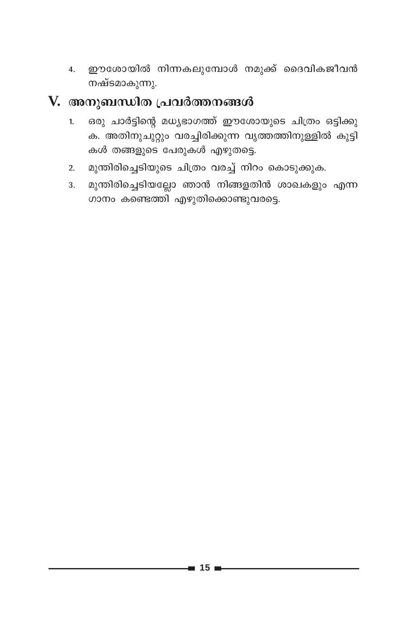ഈശോയിൽ നിന്നകലുമ്പോൾ നമുക്ക് ദൈവികജീവൻ  $\overline{4}$ . നഷ്ടമാകുന്നു.

- ഒരു ചാർട്ടിന്റെ മധ്യഭാഗത്ത് ഈശോയുടെ ചിത്രം ഒട്ടിക്കു  $1<sub>1</sub>$ ക. അതിനുചുറ്റും വരച്ചിരിക്കുന്ന വൃത്തത്തിനുള്ളിൽ കുട്ടി കൾ തങ്ങളുടെ പേരുകൾ എഴുതട്ടെ.
- മുന്തിരിച്ചെടിയുടെ ചിത്രം വരച്ച് നിറം കൊടുക്കുക.  $2<sub>1</sub>$
- മുന്തിരിച്ചെടിയല്ലോ ഞാൻ നിങ്ങളതിൻ ശാഖകളും എന്ന  $3.$ ഗാനം കണ്ടെത്തി എഴുതിക്കൊണ്ടുവരട്ടെ.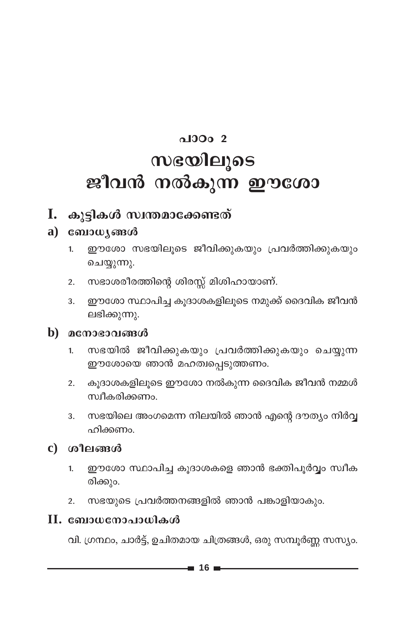# $\Omega$ <sub>0</sub>  $\Omega$ <sub>0</sub>  $\Omega$ സഭയിലൂടെ ജീവൻ നൽകുന്ന ഈശോ

#### I. കുട്ടികൾ സ്വന്തമാക്കേണ്ടത്

#### $a)$  computes  $a$

- ഈശോ സഭയിലൂടെ ജീവിക്കുകയും പ്രവർത്തിക്കുകയും  $1<sup>1</sup>$ ചെയ്യുന്നു.
- സഭാശരീരത്തിന്റെ ശിരസ്സ് മിശിഹായാണ്.  $2.$
- ഈശോ സ്ഥാപിച്ച കൂദാശകളിലൂടെ നമുക്ക് ദൈവിക ജീവൻ 3. ലഭിക്കുന്നു.

#### $\mathbf b$ ) മനോഭാവങ്ങൾ

- സഭയിൽ ജീവിക്കുകയും പ്രവർത്തിക്കുകയും ചെയ്യുന്ന  $1<sub>1</sub>$ ഈശോയെ ഞാൻ മഹത്വപ്പെടുത്തണം.
- കൂദാശകളിലൂടെ ഈശോ നൽകുന്ന ദൈവിക ജീവൻ നമ്മൾ  $\overline{2}$ . സ്ഥീകരിക്കണം.
- സഭയിലെ അംഗമെന്ന നിലയിൽ ഞാൻ എന്റെ ദൗത്യം നിർവ്വ 3. ഹിക്കണം.

#### $c)$  ശീലങ്ങൾ

- ഈശോ സ്ഥാപിച്ച കുദാശകളെ ഞാൻ ഭക്തിപൂർവ്വം സ്വീക  $\mathbf{1}$ രിക്കും.
- സഭയുടെ പ്രവർത്തനങ്ങളിൽ ഞാൻ പങ്കാളിയാകും.  $2.$

#### II. ബോധനോപാധികൾ

വി. ഗ്രന്ഥം, ചാർട്ട്, ഉചിതമായ ചിത്രങ്ങൾ, ഒരു സമ്പൂർണ്ണ സസ്യം.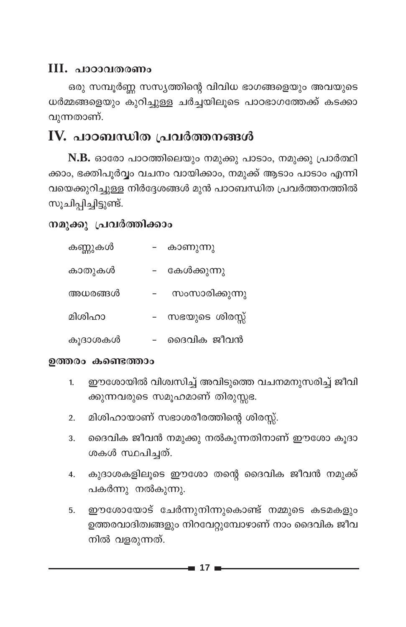#### **III. പാഠാവതരണം**

ഒരു സമ്പൂർണ്ണ സസ്യത്തിന്റെ വിവിധ ഭാഗങ്ങളെയും അവയുടെ ധർമ്മങ്ങളെയും കുറിച്ചുള്ള ചർച്ചയിലൂടെ പാഠഭാഗത്തേക്ക് കടക്കാ വുന്നതാണ്.

#### IV. പാഠബന്ധിത പ്രവർത്തനങ്ങൾ

N.B. ഓരോ പാഠത്തിലെയും നമുക്കു പാടാം, നമുക്കു പ്രാർത്ഥി ക്കാം, ഭക്തിപൂർവ്വം വചനം വായിക്കാം, നമുക്ക് ആടാം പാടാം എന്നി വയെക്കുറിച്ചുള്ള നിർദ്ദേശങ്ങൾ മുൻ പാഠബന്ധിത പ്രവർത്തനത്തിൽ സൂചിപ്പിച്ചിട്ടുണ്ട്.

#### നമുക്കു പ്രവർത്തിക്കാം

| കണ്ണുകൾ | കാണുന്നു       |
|---------|----------------|
| കാതുകൾ  | കേൾക്കുന്നു    |
| അധരങ്ങൾ | സംസാരിക്കുന്നു |
| മിശിഹാ  | സഭയുടെ ശിരസ്സ് |
| കൂദാശകൾ | ദൈവിക ജീവൻ     |

#### ഉത്തരം കണ്ടെത്താം

- ഈശോയിൽ വിശ്വസിച്ച് അവിടുത്തെ വചനമനുസരിച്ച് ജീവി  $1.$ ക്കുന്നവരുടെ സമൂഹമാണ് തിരുസ്സഭ.
- മിശിഹായാണ് സഭാശരീരത്തിന്റെ ശിരസ്സ്.  $2.$
- ദൈവിക ജീവൻ നമുക്കു നൽകുന്നതിനാണ് ഈശോ കൂദാ  $3<sub>1</sub>$ ശകൾ സ്ഥപിച്ചത്.
- കുദാശകളിലൂടെ ഈശോ തന്റെ ദൈവിക ജീവൻ നമുക്ക്  $\overline{4}$ . പകർന്നു നൽകുന്നു.
- ഈശോയോട് ചേർന്നുനിന്നുകൊണ്ട് നമ്മുടെ കടമകളും 5. ഉത്തരവാദിത്വങ്ങളും നിറവേറ്റുമ്പോഴാണ് നാം ദൈവിക ജീവ നിൽ വളരുന്നത്.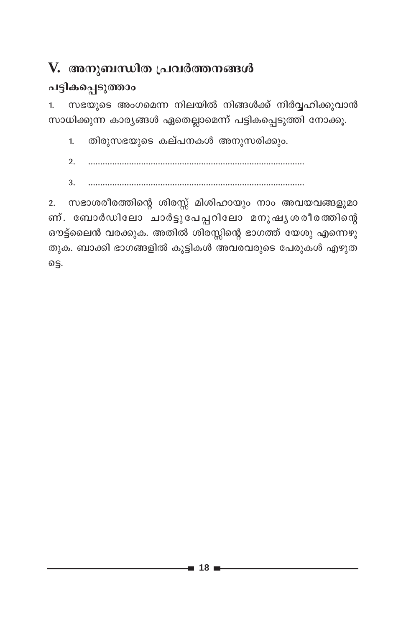## V. അനുബന്ധിത പ്രവർത്തനങ്ങൾ

#### പട്ടികപ്പെടുത്താം

സഭയുടെ അംഗമെന്ന നിലയിൽ നിങ്ങൾക്ക് നിർവ്വഹിക്കുവാൻ  $1<sub>1</sub>$ സാധിക്കുന്ന കാര്യങ്ങൾ ഏതെല്ലാമെന്ന് പട്ടികപ്പെടുത്തി നോക്കൂ.

തിരുസഭയുടെ കല്പനകൾ അനുസരിക്കും.  $1<sub>1</sub>$ 

- $2<sub>1</sub>$
- $\mathcal{R}$

2. സഭാശരീരത്തിന്റെ ശിരസ്സ് മിശിഹായും നാം അവയവങ്ങളുമാ ണ്. ബോർഡിലോ ചാർട്ടുപേപ്പറിലോ മനുഷ്യശരീരത്തിന്റെ ഔട്ട്ലൈൻ വരക്കുക. അതിൽ ശിരസ്സിന്റെ ഭാഗത്ത് യേശു എന്നെഴു തുക. ബാക്കി ഭാഗങ്ങളിൽ കുട്ടികൾ അവരവരുടെ പേരുകൾ എഴുത ട്ടെ.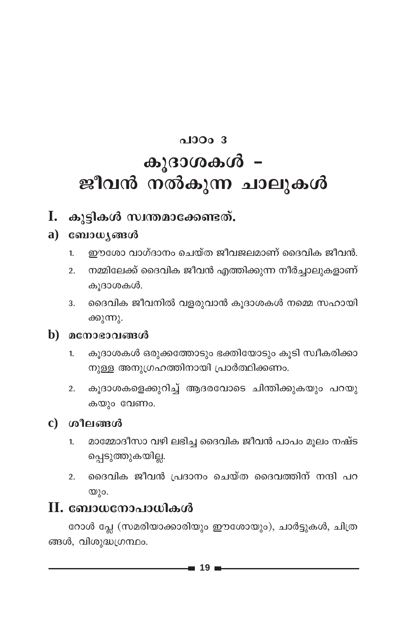# $0.10003$ കൂദാശകൾ – ജീവൻ നൽകുന്ന ചാലുകൾ

#### I. കൂട്ടികൾ സ്വന്തമാക്കേണ്ടത്.

#### a)  $\cos\omega$   $\sin\omega$

- ഈശോ വാഗ്ദാനം ചെയ്ത ജീവജലമാണ് ദൈവിക ജീവൻ.  $\mathbf{1}$
- നമ്മിലേക്ക് ദൈവിക ജീവൻ എത്തിക്കുന്ന നീർച്ചാലുകളാണ്  $2.$ കൂദാശകൾ.
- ദൈവിക ജീവനിൽ വളരുവാൻ കൂദാശകൾ നമ്മെ സഹായി 3. ക്കുന്നു.

#### $\mathbf b$ ) മനോഭാവങ്ങൾ

- കുദാശകൾ ഒരുക്കത്തോടും ഭക്തിയോടും കൂടി സ്വീകരിക്കാ  $\overline{1}$ . നുള്ള അനുഗ്രഹത്തിനായി പ്രാർത്ഥിക്കണം.
- 2. കൂദാശകളെക്കുറിച്ച് ആദരവോടെ ചിന്തിക്കുകയും പറയു കയും വേണം.

#### $c)$  ശീലങ്ങൾ

- മാമ്മോദീസാ വഴി ലഭിച്ച ദൈവിക ജീവൻ പാപം മൂലം നഷ്ട 1. പ്പെടുത്തുകയില്ല.
- ദൈവിക ജീവൻ പ്രദാനം ചെയ്ത ദൈവത്തിന് നന്ദി പറ  $\overline{2}$ .  $ω$ ).

#### $\mathbf H$ . ബോധനോപാധികൾ

റോൾ പ്ലേ (സമരിയാക്കാരിയും ഈശോയും), ചാർട്ടുകൾ, ചിത്ര ങ്ങൾ, വിശുദ്ധഗ്രന്ഥം.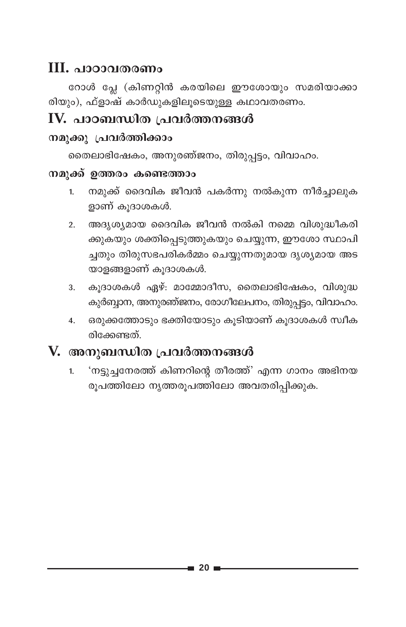#### **III. പാഠാവതരണം**

റോൾ പ്ലേ (കിണറ്റിൻ കരയിലെ ഈശോയും സമരിയാക്കാ രിയും), ഫ്ളാഷ് കാർഡുകളിലൂടെയുള്ള കഥാവതരണം.

#### $IV.$  പാഠബന്ധിത പ്രവർത്തനങ്ങൾ

#### നമുക്കു പ്രവർത്തിക്കാം

തൈലാഭിഷേകം, അനുരഞ്ജനം, തിരുപ്പട്ടം, വിവാഹം.

#### നമുക്ക് ഉത്തരം കണ്ടെത്താം

- നമുക്ക് ദൈവിക ജീവൻ പകർന്നു നൽകുന്ന നീർച്ചാലുക  $1<sup>1</sup>$ ളാണ് കൂദാശകൾ.
- അദൃശ്യമായ ദൈവിക ജീവൻ നൽകി നമ്മെ വിശുദ്ധീകരി  $\overline{2}$ . ക്കുകയും ശക്തിപ്പെടുത്തുകയും ചെയ്യുന്ന, ഈശോ സ്ഥാപി ച്ചതും തിരുസഭപരികർമ്മം ചെയ്യുന്നതുമായ ദൃശ്യമായ അട യാളങ്ങളാണ് കൂദാശകൾ.
- കൂദാശകൾ ഏഴ്: മാമ്മോദീസ, തൈലാഭിഷേകം, വിശുദ്ധ  $3<sub>1</sub>$ കുർബ്ബാന, അനുരഞ്ജനം, രോഗീലേപനം, തിരുപ്പട്ടം, വിവാഹം.
- ഒരുക്കത്തോടും ഭക്തിയോടും കൂടിയാണ് കൂദാശകൾ സ്വീക  $\overline{4}$ . രിക്കേണ്ടത്

#### V. അനുബന്ധിത പ്രവർത്തനങ്ങൾ

'നട്ടുച്ചനേരത്ത് കിണറിന്റെ തീരത്ത്' എന്ന ഗാനം അഭിനയ  $1.$ രൂപത്തിലോ നൃത്തരൂപത്തിലോ അവതരിപ്പിക്കുക.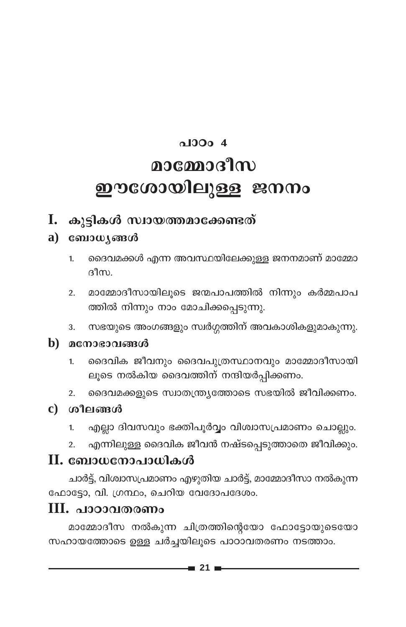# $\triangle$ 100 $\angle$ 4 മാമ്മോദീസ ഈശോയിലുള്ള ജനനം

#### I. കൂട്ടികൾ സ്വായത്തമാക്കേണ്ടത്

#### $a)$   $\cos\omega$   $\sin\omega$

- ദൈവമക്കൾ എന്ന അവസ്ഥയിലേക്കുള്ള ജനനമാണ് മാമ്മോ  $\overline{1}$ . ദീസ
- മാമ്മോദീസായിലുടെ ജന്മപാപത്തിൽ നിന്നും കർമ്മപാപ  $\overline{2}$ . ത്തിൽ നിന്നും നാം മോചിക്കപ്പെടുന്നു.
- സഭയുടെ അംഗങ്ങളും സ്വർഗ്ഗത്തിന് അവകാശികളുമാകുന്നു.  $3<sub>1</sub>$

#### $\mathbf b$ ) മനോഭാവങ്ങൾ

- ദൈവിക ജീവനും ദൈവപുത്രസ്ഥാനവും മാമ്മോദീസായി  $\mathbf{1}$ ലൂടെ നൽകിയ ദൈവത്തിന് നന്ദിയർപ്പിക്കണം.
- ദൈവമക്കളുടെ സ്വാതന്ത്ര്യത്തോടെ സഭയിൽ ജീവിക്കണം.  $2.$

#### c) ശീലങ്ങൾ

- എല്ലാ ദിവസവും ഭക്തിപൂർവ്വം വിശ്വാസപ്രമാണം ചൊല്ലും.  $1.$
- എന്നിലുള്ള ദൈവിക ജീവൻ നഷ്ടപ്പെടുത്താതെ ജീവിക്കും.  $2.$

#### II. ബോധനോപാധികൾ

ചാർട്ട്, വിശ്വാസപ്രമാണം എഴുതിയ ചാർട്ട്, മാമ്മോദീസാ നൽകുന്ന ഫോട്ടോ, വി. ഗ്രന്ഥം, ചെറിയ വേദോപദേശം.

#### $III.$  പാഠാവതരണം

മാമ്മോദീസ നൽകുന്ന ചിത്രത്തിന്റെയോ ഫോട്ടോയുടെയോ സഹായത്തോടെ ഉള്ള ചർച്ചയിലൂടെ പാഠാവതരണം നടത്താം.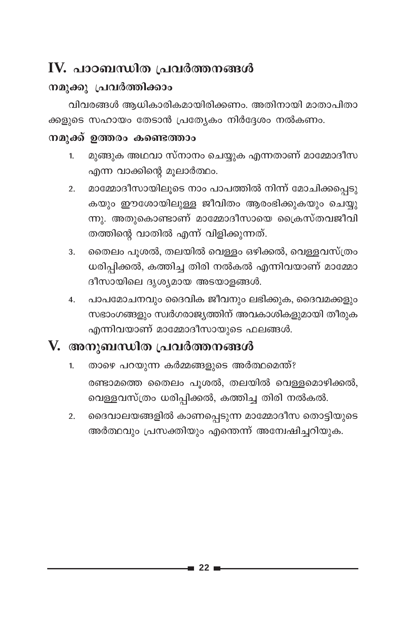## $\mathbf I$ V. പാഠബന്ധിത പ്രവർത്തനങ്ങൾ

#### നമുക്കു പ്രവർത്തിക്കാം

വിവരങ്ങൾ ആധികാരികമായിരിക്കണം. അതിനായി മാതാപിതാ ക്കളുടെ സഹായം തേടാൻ പ്രത്യേകം നിർദ്ദേശം നൽകണം.

#### നമുക്ക് ഉത്തരം കണ്ടെത്താം

- മുങ്ങുക അഥവാ സ്നാനം ചെയ്യുക എന്നതാണ് മാമ്മോദീസ  $1.$ എന്ന വാക്കിന്റെ മുലാർത്ഥം.
- മാമ്മോദീസായിലൂടെ നാം പാപത്തിൽ നിന്ന് മോചിക്കപ്പെടു  $\overline{2}$ . കയും ഈശോയിലുള്ള ജീവിതം ആരംഭിക്കുകയും ചെയ്യു ന്നു. അതുകൊണ്ടാണ് മാമ്മോദീസായെ ക്രൈസ്തവജീവി തത്തിന്റെ വാതിൽ എന്ന് വിളിക്കുന്നത്.
- തൈലം പൂശൽ, തലയിൽ വെള്ളം ഒഴിക്കൽ, വെള്ളവസ്ത്രം 3. ധരിപ്പിക്കൽ, കത്തിച്ച തിരി നൽകൽ എന്നിവയാണ് മാമ്മോ ദീസായിലെ ദൃശ്യമായ അടയാളങ്ങൾ.
- പാപമോചനവും ദൈവിക ജീവനും ലഭിക്കുക, ദൈവമക്കളും  $4.$ സഭാംഗങ്ങളും സ്ഥർഗരാജ്യത്തിന് അവകാശികളുമായി തീരുക എന്നിവയാണ് മാമ്മോദീസായുടെ ഫലങ്ങൾ.

- താഴെ പറയുന്ന കർമ്മങ്ങളുടെ അർത്ഥമെന്ത്?  $1<sub>1</sub>$ രണ്ടാമത്തെ തൈലം പൂശൽ, തലയിൽ വെള്ളമൊഴിക്കൽ, വെള്ളവസ്ത്രം ധരിപ്പിക്കൽ, കത്തിച്ച തിരി നൽകൽ.
- ദൈവാലയങ്ങളിൽ കാണപ്പെടുന്ന മാമ്മോദീസ തൊട്ടിയുടെ  $2.$ അർത്ഥവും പ്രസക്തിയും എന്തെന്ന് അന്വേഷിച്ചറിയുക.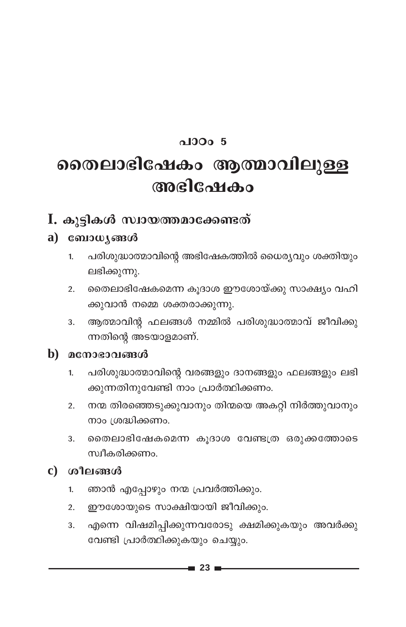#### $0.10005$

## തൈലാഭിഷേകം ആത്മാവിലുള്ള അഭിഷേകം

#### I. കൂട്ടികൾ സ്വായത്തമാക്കേണ്ടത്

#### $a)$  computes  $a$

- പരിശുദ്ധാത്മാവിന്റെ അഭിഷേകത്തിൽ ധൈര്യവും ശക്തിയും  $1.$ ലഭിക്കുന്നു.
- തൈലാഭിഷേകമെന്ന കൂദാശ ഈശോയ്ക്കു സാക്ഷ്യം വഹി  $2.$ ക്കുവാൻ നമ്മെ ശക്തരാക്കുന്നു.
- 3. ആത്മാവിന്റ ഫലങ്ങൾ നമ്മിൽ പരിശുദ്ധാത്മാവ് ജീവിക്കു ന്നതിന്റെ അടയാളമാണ്.

#### $\mathbf b$ ) മനോഭാവങ്ങൾ

- പരിശുദ്ധാത്മാവിന്റെ വരങ്ങളും ദാനങ്ങളും ഫലങ്ങളും ലഭി  $1.$ ക്കുന്നതിനുവേണ്ടി നാം പ്രാർത്ഥിക്കണം.
- 2. നന്മ തിരഞ്ഞെടുക്കുവാനും തിന്മയെ അകറ്റി നിർത്തുവാനും നാം ശ്രദ്ധിക്കണം.
- രൈലാഭിഷേകമെന്ന കൂദാശ വേണ്ടത്ര ഒരുക്കത്തോടെ 3. സ്വീകരിക്കണം.

#### $c)$  ശീലങ്ങൾ

- ഞാൻ എപ്പോഴും നന്മ പ്രവർത്തിക്കും.  $\mathbf{1}$
- 2. ഈശോയുടെ സാക്ഷിയായി ജീവിക്കും.
- എന്നെ വിഷമിപ്പിക്കുന്നവരോടു ക്ഷമിക്കുകയും അവർക്കു 3. വേണ്ടി പ്രാർത്ഥിക്കുകയും ചെയ്യും.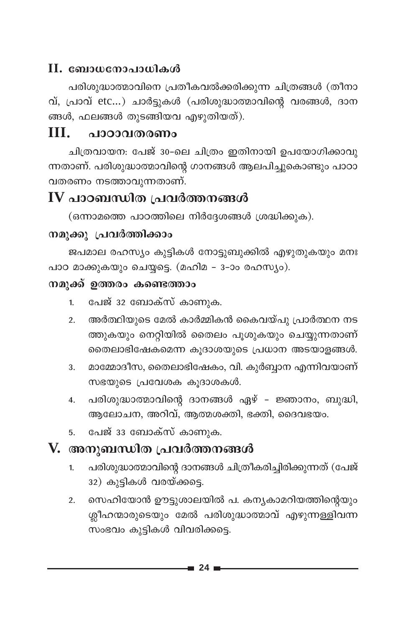#### II. ബോധനോപാധികൾ

പരിശുദ്ധാത്മാവിനെ പ്രതീകവൽക്കരിക്കുന്ന ചിത്രങ്ങൾ (തീനാ വ്, പ്രാവ് etc...) ചാർട്ടുകൾ (പരിശുദ്ധാത്മാവിന്റെ വരങ്ങൾ, ദാന ങ്ങൾ, ഫലങ്ങൾ തുടങ്ങിയവ എഴുതിയത്).

#### Ш പാറാവതരണം

ചിത്രവായന: പേജ് 30-ലെ ചിത്രം ഇതിനായി ഉപയോഗിക്കാവു ന്നതാണ്. പരിശുദ്ധാത്മാവിന്റെ ഗാനങ്ങൾ ആലപിച്ചുകൊണ്ടും പാഠാ വതരണം നടത്താവുന്നതാണ്.

#### IV പാഠബന്ധിത പ്രവർത്തനങ്ങൾ

(ഒന്നാമത്തെ പാഠത്തിലെ നിർദ്ദേശങ്ങൾ ശ്രദ്ധിക്കുക).

#### നമുക്കു പ്രവർത്തിക്കാം

ജപമാല രഹസ്യം കുട്ടികൾ നോട്ടുബുക്കിൽ എഴുതുകയും മനഃ പാഠ മാക്കുകയും ചെയ്യട്ടെ. (മഹിമ - 3-ാം രഹസ്യം).

#### നമുക്ക് ഉത്തരം കണ്ടെത്താം

- പേജ് 32 ബോക്സ് കാണുക.  $\mathbf{1}$
- അർത്ഥിയുടെ മേൽ കാർമ്മികൻ കൈവയ്പു പ്രാർത്ഥന നട  $2.$ ത്തുകയും നെറ്റിയിൽ തൈലം പുശുകയും ചെയ്യുന്നതാണ് തൈലാഭിഷേകമെന്ന കൂദാശയുടെ പ്രധാന അടയാളങ്ങൾ.
- മാമ്മോദീസ, തൈലാഭിഷേകം, വി. കുർബ്ബാന എന്നിവയാണ് 3. സഭയുടെ പ്രവേശക കുദാശകൾ.
- പരിശുദ്ധാത്മാവിന്റെ ദാനങ്ങൾ ഏഴ് ജ്ഞാനം, ബുദ്ധി,  $4.$ ആലോചന, അറിവ്, ആത്മശക്തി, ഭക്തി, ദൈവഭയം.
- പേജ് 33 ബോക്സ് കാണുക. 5

- പരിശുദ്ധാത്മാവിന്റെ ദാനങ്ങൾ ചിത്രീകരിച്ചിരിക്കുന്നത് (പേജ്  $1<sub>1</sub>$ 32) കുട്ടികൾ വരയ്ക്കട്ടെ.
- സെഹിയോൻ ഊട്ടുശാലയിൽ പ. കന്യകാമറിയത്തിന്റെയും  $2.$ ശ്ലീഹന്മാരുടെയും മേൽ പരിശുദ്ധാത്മാവ് എഴുന്നള്ളിവന്ന സംഭവം കുട്ടികൾ വിവരിക്കട്ടെ.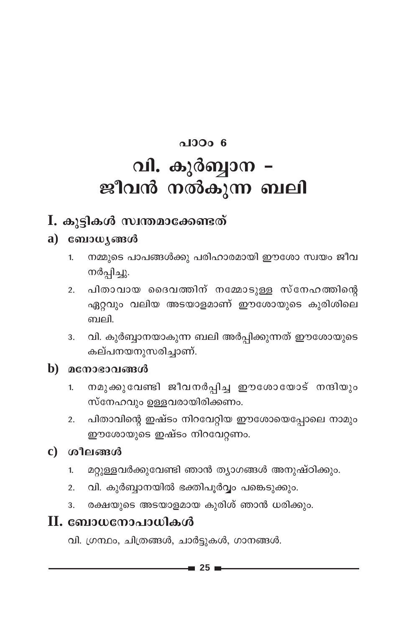# $0.10006$ വി. കുർബ്ബാന – ജീവൻ നൽകുന്ന ബലി

#### I. കുട്ടികൾ സ്വന്തമാക്കേണ്ടത്

#### $a)$  comoulous and

- നമ്മുടെ പാപങ്ങൾക്കു പരിഹാരമായി ഈശോ സ്വയം ജീവ  $1.$ നർപ്പിച്ചു.
- പിതാവായ ദൈവത്തിന് നമ്മോടുള്ള സ്നേഹത്തിന്റെ  $2<sup>1</sup>$ ഏറ്റവും വലിയ അടയാളമാണ് ഈശോയുടെ കുരിശിലെ ബലി.
- വി. കുർബ്ബാനയാകുന്ന ബലി അർപ്പിക്കുന്നത് ഈശോയുടെ 3. കല്പനയനുസരിച്ചാണ്.
- $\mathbf b$ ) മനോഭാവങ്ങൾ
	- നമുക്കുവേണ്ടി ജീവനർപ്പിച്ച ഈശോയോട് നന്ദിയും  $\mathbf{1}$ സ്നേഹവും ഉള്ളവരായിരിക്കണം.
	- പിതാവിന്റെ ഇഷ്ടം നിറവേറ്റിയ ഈശോയെപ്പോലെ നാമും  $\overline{2}$ . ഈശോയുടെ ഇഷ്ടം നിറവേറ്റണം.

#### $c)$  ശീലങ്ങൾ

- മറ്റുള്ളവർക്കുവേണ്ടി ഞാൻ ത്യാഗങ്ങൾ അനുഷ്ഠിക്കും.  $\mathbf{1}$
- വി. കുർബ്ബാനയിൽ ഭക്തിപൂർവ്വം പങ്കെടുക്കും.  $2.$
- രക്ഷയുടെ അടയാളമായ കുരിശ് ഞാൻ ധരിക്കും. 3.

#### II. ബോധനോപാധികൾ

വി. ഗ്രന്ഥം, ചിത്രങ്ങൾ, ചാർട്ടുകൾ, ഗാനങ്ങൾ.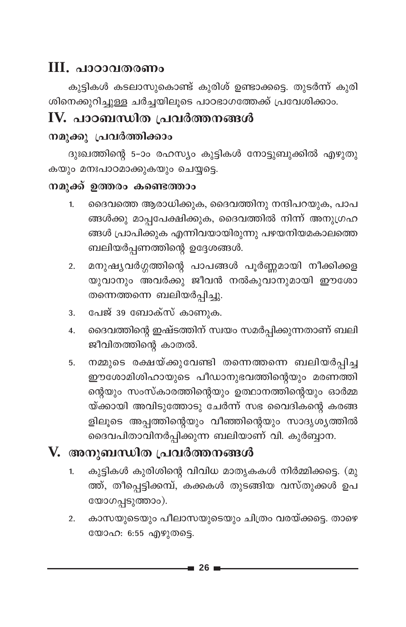#### III. പാഠാവതരണം

കുട്ടികൾ കടലാസുകൊണ്ട് കുരിശ് ഉണ്ടാക്കട്ടെ. തുടർന്ന് കുരി .<br>ശിനെക്കുറിച്ചുള്ള ചർച്ചയിലൂടെ പാഠഭാഗത്തേക്ക് പ്രവേശിക്കാം.

## IV. പാഠബന്ധിത പ്രവർത്തനങ്ങൾ

#### നമുക്കു പ്രവർത്തിക്കാം

ദുഃഖത്തിന്റെ 5-ാം രഹസ്യം കുട്ടികൾ നോട്ടുബുക്കിൽ എഴുതു കയും മനഃപാഠമാക്കുകയും ചെയ്യട്ടെ.

#### നമുക്ക് ഉത്തരം കണ്ടെത്താം

- ദൈവത്തെ ആരാധിക്കുക, ദൈവത്തിനു നന്ദിപറയുക, പാപ  $1.$ ങ്ങൾക്കു മാപ്പപേക്ഷിക്കുക, ദൈവത്തിൽ നിന്ന് അനുഗ്രഹ ങ്ങൾ പ്രാപിക്കുക എന്നിവയായിരുന്നു പഴയനിയമകാലത്തെ ബലിയർപ്പണത്തിന്റെ ഉദ്ദേശങ്ങൾ.
- മനുഷ്യവർഗ്ഗത്തിന്റെ പാപങ്ങൾ പൂർണ്ണമായി നീക്കിക്കള  $2.$ യുവാനും അവർക്കു ജീവൻ നൽകുവാനുമായി ഈശോ തന്നെത്തന്നെ ബലിയർപ്പിച്ചു.
- പേജ് 39 ബോക്സ് കാണുക. 3.
- ദൈവത്തിന്റെ ഇഷ്ടത്തിന് സ്വയം സമർപ്പിക്കുന്നതാണ് ബലി  $\overline{4}$ . ജീവിതത്തിന്റെ കാതൽ.
- നമ്മുടെ രക്ഷയ്ക്കുവേണ്ടി തന്നെത്തന്നെ ബലിയർപ്പിച്ച 5. ഈശോമിശിഹായുടെ പീഡാനുഭവത്തിന്റെയും മരണത്തി ന്റെയും സംസ്കാരത്തിന്റെയും ഉത്ഥാനത്തിന്റെയും ഓർമ്മ യ്ക്കായി അവിടുത്തോടു ചേർന്ന് സഭ വൈദികന്റെ കരങ്ങ ളിലൂടെ അപ്പത്തിന്റെയും വീഞ്ഞിന്റെയും സാദൃശ്യത്തിൽ ദൈവപിതാവിനർപ്പിക്കുന്ന ബലിയാണ് വി. കുർബ്ബാന.

- കുട്ടികൾ കുരിശിന്റെ വിവിധ മാതൃകകൾ നിർമ്മിക്കട്ടെ. (മു  $\overline{1}$ . ത്ത്, തീപ്പെട്ടിക്കമ്പ്, കക്കകൾ തുടങ്ങിയ വസ്തുക്കൾ ഉപ യോഗപ്പടുത്താം).
- കാസയുടെയും പീലാസയുടെയും ചിത്രം വരയ്ക്കട്ടെ. താഴെ  $\overline{2}$ . യോഹ: 6:55 എഴുതട്ടെ.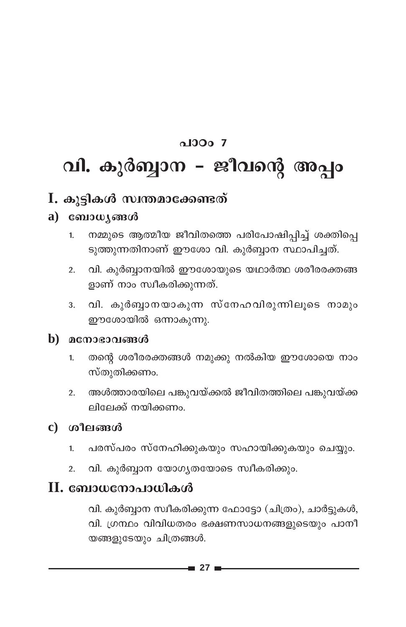#### $0.1000Z$

# വി. കുർബ്ബാന - ജീവന്റെ അപ്പം

#### I. കൂട്ടികൾ സ്വന്തമാക്കേണ്ടത്

#### a)  $\cos\omega$   $\sin\omega$

- നമ്മുടെ ആത്മീയ ജീവിതത്തെ പരിപോഷിപ്പിച്ച് ശക്തിപ്പെ  $\mathbf{1}$ ടുത്തുന്നതിനാണ് ഈശോ വി. കുർബ്ബാന സ്ഥാപിച്ചത്.
- വി. കുർബ്ബാനയിൽ ഈശോയുടെ യഥാർത്ഥ ശരീരരക്തങ്ങ  $2.$ ളാണ് നാം സ്വീകരിക്കുന്നത്.
- 3. വി. കുർബ്ബാനയാകുന്ന സ്നേഹവിരുന്നിലൂടെ നാമും ഈശോയിൽ ഒന്നാകുന്നു.

#### b) മനോഭാവങ്ങൾ

- തന്റെ ശരീരരക്തങ്ങൾ നമുക്കു നൽകിയ ഈശോയെ നാം  $1.$ സ്തുതിക്കണം.
- അൾത്താരയിലെ പങ്കുവയ്ക്കൽ ജീവിതത്തിലെ പങ്കുവയ്ക്ക  $\overline{2}$ . ലിലേക്ക് നയിക്കണം

#### $\mathbf c$ ) ശീലങ്ങൾ

- പരസ്പരം സ്നേഹിക്കുകയും സഹായിക്കുകയും ചെയ്യും.  $1.$
- വി. കുർബ്ബാന യോഗ്യതയോടെ സ്വീകരിക്കും.  $\overline{2}$ .

#### $\mathbf H$ . ബോധനോപാധികൾ

വി. കുർബ്ബാന സ്ഥീകരിക്കുന്ന ഫോട്ടോ (ചിത്രം), ചാർട്ടുകൾ, വി. ഗ്രന്ഥം വിവിധതരം ഭക്ഷണസാധനങ്ങളുടെയും പാനീ യങ്ങളുടേയും ചിത്രങ്ങൾ.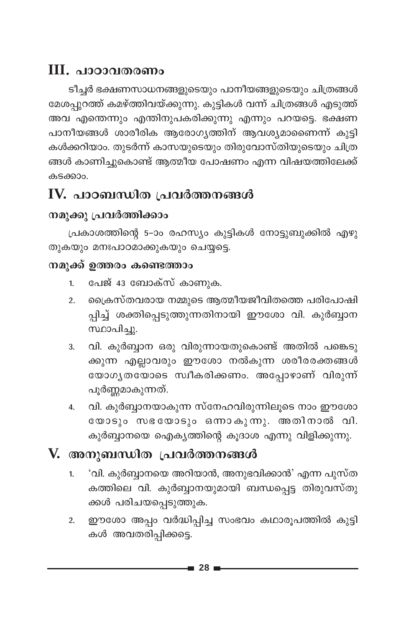## III. പാഠാവതരണം

ടീച്ചർ ഭക്ഷണസാധനങ്ങളുടെയും പാനീയങ്ങളുടെയും ചിത്രങ്ങൾ മേശപ്പുറത്ത് കമഴ്ത്തിവയ്ക്കുന്നു. കുട്ടികൾ വന്ന് ചിത്രങ്ങൾ എടുത്ത് അവ എന്തെന്നും എന്തിനുപകരിക്കുന്നു എന്നും പറയട്ടെ. ഭക്ഷണ പാനീയങ്ങൾ ശാരീരിക ആരോഗ്യത്തിന് ആവശ്യമാണൈന്ന് കുട്ടി കൾക്കറിയാം. തുടർന്ന് കാസയുടെയും തിരുവോസ്തിയുടെയും ചിത്ര ങ്ങൾ കാണിച്ചുകൊണ്ട് ആത്മീയ പോഷണം എന്ന വിഷയത്തിലേക്ക് കടക്കാപ

## IV. പാഠബന്ധിത പ്രവർത്തനങ്ങൾ

#### നമുക്കു പ്രവർത്തിക്കാം

പ്രകാശത്തിന്റെ 5-ാം രഹസ്യം കുട്ടികൾ നോട്ടുബുക്കിൽ എഴു തുകയും മനഃപാഠമാക്കുകയും ചെയ്യട്ടെ.

#### നമുക്ക് ഉത്തരം കണ്ടെത്താം

- പേജ് 43 ബോക്സ് കാണുക.  $1.$
- ക്രൈസ്തവരായ നമ്മുടെ ആത്മീയജീവിതത്തെ പരിപോഷി  $2.$ പ്പിച്ച് ശക്തിപ്പെടുത്തുന്നതിനായി ഈശോ വി. കുർബ്ബാന സ്ഥാപിച്ചു.
- വി. കുർബ്ബാന ഒരു വിരുന്നായതുകൊണ്ട് അതിൽ പങ്കെടു  $\overline{3}$ . ക്കുന്ന എല്ലാവരും ഈശോ നൽകുന്ന ശരീരരക്തങ്ങൾ യോഗൃതയോടെ സ്വീകരിക്കണം. അപ്പോഴാണ് വിരുന്ന് പൂർണ്ണമാകുന്നത്.
- വി. കുർബ്ബാനയാകുന്ന സ്നേഹവിരുന്നിലുടെ നാം ഈശോ  $\overline{4}$ . യോടും സഭയോടും ഒന്നാകുന്നു. അതിനാൽ വി. കുർബ്ബാനയെ ഐക്യത്തിന്റെ കൂദാശ എന്നു വിളിക്കുന്നു.

- 'വി. കുർബ്ബാനയെ അറിയാൻ, അനുഭവിക്കാൻ' എന്ന പുസ്ത  $1.$ കത്തിലെ വി. കുർബ്ബാനയുമായി ബന്ധപ്പെട്ട തിരുവസ്തു ക്കൾ പരിചയപ്പെടുത്തുക.
- ഈശോ അപ്പം വർദ്ധിപ്പിച്ച സംഭവം കഥാരൂപത്തിൽ കുട്ടി  $\overline{2}$ . കൾ അവതരിപ്പിക്കട്ടെ.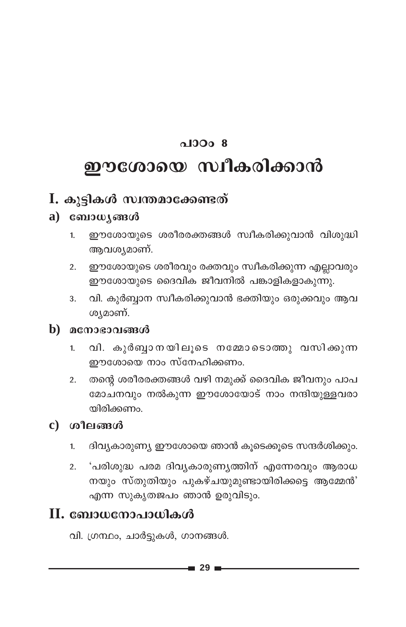#### $\Omega$  0.00  $\Omega$

## ഈശോയെ സ്വീകരിക്കാൻ

#### $I.$  കൂട്ടികൾ സ്വന്തമാക്കേണ്ടത്

#### $a)$   $\cos\omega$   $\sin\omega$

- ഈശോയുടെ ശരീരരക്തങ്ങൾ സ്വീകരിക്കുവാൻ വിശുദ്ധി  $\mathbf{1}$ ആവശ്യമാണ്.
- ഈശോയുടെ ശരീരവും രക്തവും സ്വീകരിക്കുന്ന എല്ലാവരും  $2.$ ഈശോയുടെ ദൈവിക ജീവനിൽ പങ്കാളികളാകുന്നു.
- വി. കുർബ്ബാന സ്വീകരിക്കുവാൻ ഭക്തിയും ഒരുക്കവും ആവ  $\overline{3}$ . ശ്യമാണ്.

#### $\mathbf{b}$ മനോഭാവങ്ങൾ

- $1.$ വി. കുർബുാനയിലൂടെ നമ്മോടൊത്തു വസിക്കുന്ന ഈശോയെ നാം സ്നേഹിക്കണം.
- തന്റെ ശരീരരക്തങ്ങൾ വഴി നമുക്ക് ദൈവിക ജീവനും പാപ  $2.$ മോചനവും നൽകുന്ന ഈശോയോട് നാം നന്ദിയുള്ളവരാ യിരിക്കണം.

#### $\mathbf c$ ) ശീലങ്ങൾ

- ദിവ്യകാരുണ്യ ഈശോയെ ഞാൻ കൂടെക്കൂടെ സന്ദർശിക്കും.  $1.$
- 'പരിശുദ്ധ പരമ ദിവ്യകാരുണ്യത്തിന് എന്നേരവും ആരാധ  $2.$ നയും സ്തുതിയും പുകഴ്ചയുമുണ്ടായിരിക്കട്ടെ ആമ്മേൻ' എന്ന സുകൃതജപം ഞാൻ ഉരുവിടും.

#### II. ബോധനോപാധികൾ

വി. ഗ്രന്ഥം, ചാർട്ടുകൾ, ഗാനങ്ങൾ.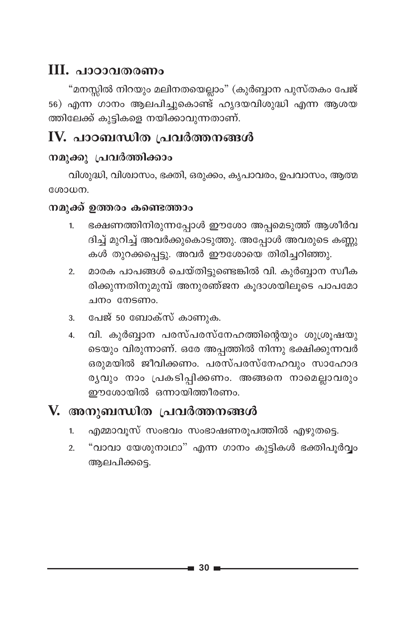#### **III. പാഠാവതരണം**

"മനസ്സിൽ നിറയും മലിനതയെല്ലാം" (കുർബ്ബാന പുസ്തകം പേജ് 56) എന്ന ഗാനം ആലപിച്ചുകൊണ്ട് ഹൃദയവിശുദ്ധി എന്ന ആശയ ത്തിലേക്ക് കുട്ടികളെ നയിക്കാവുന്നതാണ്.

## IV. പാഠബന്ധിത പ്രവർത്തനങ്ങൾ

#### നമുക്കു പ്രവർത്തിക്കാം

വിശുദ്ധി, വിശ്വാസം, ഭക്തി, ഒരുക്കം, കൃപാവരം, ഉപവാസം, ആത്മ ശോധന.

#### നമുക്ക് ഉത്തരം കണ്ടെത്താം

- ഭക്ഷണത്തിനിരുന്നപ്പോൾ ഈശോ അപ്പമെടുത്ത് ആശീർവ  $\mathbf{1}$ ദിച്ച് മുറിച്ച് അവർക്കുകൊടുത്തു. അപ്പോൾ അവരുടെ കണ്ണു കൾ തുറക്കപ്പെട്ടു. അവർ ഈശോയെ തിരിച്ചറിഞ്ഞു.
- മാരക പാപങ്ങൾ ചെയ്തിട്ടുണ്ടെങ്കിൽ വി. കുർബ്ബാന സ്വീക  $\overline{2}$ . രിക്കുന്നതിനുമുമ്പ് അനുരഞ്ജന കൂദാശയിലൂടെ പാപമോ ചനം നേടണം.
- പേജ് 50 ബോക്സ് കാണുക. 3.
- വി. കുർബ്ബാന പരസ്പരസ്നേഹത്തിന്റെയും ശുശ്രുഷയു  $\overline{4}$ . ടെയും വിരുന്നാണ്. ഒരേ അപ്പത്തിൽ നിന്നു ഭക്ഷിക്കുന്നവർ ഒരുമയിൽ ജീവിക്കണം. പരസ്പരസ്നേഹവും സാഹോദ രുവും നാം പ്രകടിപ്പിക്കണം. അങ്ങനെ നാമെല്ലാവരും ഈശോയിൽ ഒന്നായിത്തീരണം.

- എമ്മാവൂസ് സംഭവം സംഭാഷണരൂപത്തിൽ എഴുതട്ടെ.  $1.$
- "വാവാ യേശുനാഥാ" എന്ന ഗാനം കുട്ടികൾ ഭക്തിപൂർവ്വം  $\overline{2}$ . ആലപിക്കടെ.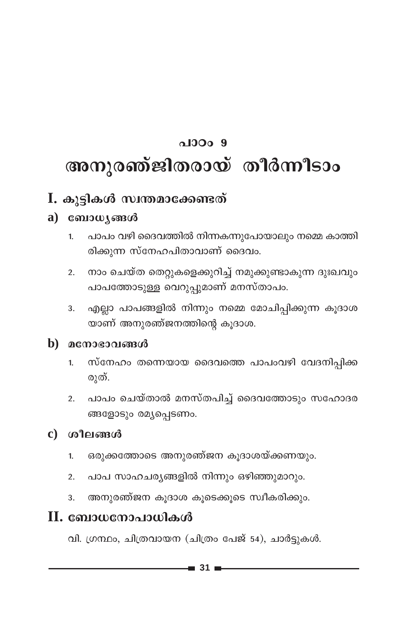# $0.1000.9$ അനുരഞ്ജിതരായ് തീർന്നീടാം

#### I. കുട്ടികൾ സ്വന്തമാക്കേണ്ടത്

#### $a)$   $\cos\omega$   $\sin\omega$

- പാപം വഴി ദൈവത്തിൽ നിന്നകന്നുപോയാലും നമ്മെ കാത്തി  $1<sub>1</sub>$ രിക്കുന്ന സ്നേഹപിതാവാണ് ദൈവം.
- നാം ചെയ്ത തെറ്റുകളെക്കുറിച്ച് നമുക്കുണ്ടാകുന്ന ദുഃഖവും  $\overline{2}$ . പാപത്തോടുള്ള വെറുപ്പുമാണ് മനസ്താപം.
- എല്ലാ പാപങ്ങളിൽ നിന്നും നമ്മെ മോചിപ്പിക്കുന്ന കൂദാശ 3. യാണ് അനുരഞ്ജനത്തിന്റെ കൂദാശ.

#### b) മനോഭാവങ്ങൾ

- സ്നേഹം തന്നെയായ ദൈവത്തെ പാപംവഴി വേദനിപ്പിക്ക  $\mathbf{1}$ രുത്.
- പാപം ചെയ്താൽ മനസ്തപിച്ച് ദൈവത്തോടും സഹോദര  $2.$ ങ്ങളോടും രമ്യപ്പെടണം.

#### $\mathbf c$ ) ശീലങ്ങൾ

- ഒരുക്കത്തോടെ അനുരഞ്ജന കൂദാശയ്ക്കണയും.  $\mathbf{1}$
- പാപ സാഹചര്യങ്ങളിൽ നിന്നും ഒഴിഞ്ഞുമാറും.  $\overline{2}$ .
- അനുരഞ്ജന കൂദാശ കൂടെക്കൂടെ സ്വീകരിക്കും. 3.

#### $\mathbf H$ . ബോധനോപാധികൾ

വി. ഗ്രന്ഥം, ചിത്രവായന (ചിത്രം പേജ് 54), ചാർട്ടുകൾ.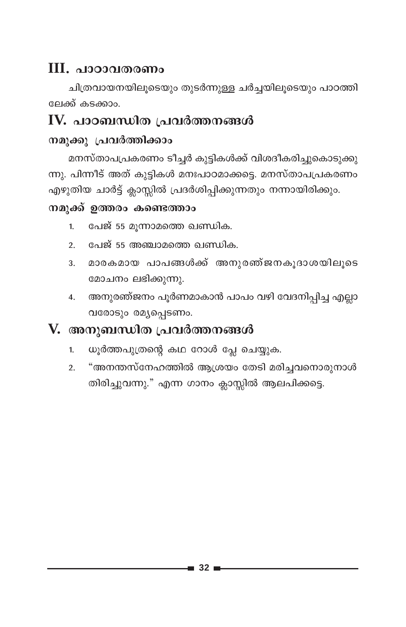## III. പാഠാവതരണം

ചിത്രവായനയിലൂടെയും തുടർന്നുള്ള ചർച്ചയിലൂടെയും പാഠത്തി ലേക്ക് കടക്കാം.

#### IV. പാഠബന്ധിത പ്രവർത്തനങ്ങൾ

#### നമുക്കു പ്രവർത്തിക്കാം

മനസ്താപപ്രകരണം ടീച്ചർ കുട്ടികൾക്ക് വിശദീകരിച്ചുകൊടുക്കു ന്നു. പിന്നീട് അത് കുട്ടികൾ മനഃപാഠമാക്കട്ടെ. മനസ്താപപ്രകരണം എഴുതിയ ചാർട്ട് ക്ലാസ്സിൽ പ്രദർശിപ്പിക്കുന്നതും നന്നായിരിക്കും.

#### നമുക്ക് ഉത്തരം കണ്ടെത്താം

- പേജ് 55 മുന്നാമത്തെ ഖണ്ഡിക.  $1<sub>1</sub>$
- പേജ് 55 അഞ്ചാമത്തെ ഖണ്ഡിക.  $2.$
- മാരകമായ പാപങ്ങൾക്ക് അനുരഞ്ജനകൂദാശയിലൂടെ 3. മോചനം ലഭിക്കുന്നു.
- 4. അനുരഞ്ജനം പൂർണമാകാൻ പാപം വഴി വേദനിപ്പിച്ച എല്ലാ വരോടും രമ്യപ്പെടണം.

- ധൂർത്തപുത്രന്റെ കഥ റോൾ പ്ലേ ചെയ്യുക.  $1.$
- "അനന്തസ്നേഹത്തിൽ ആശ്രയം തേടി മരിച്ചവനൊരുനാൾ  $\overline{2}$ തിരിച്ചുവന്നു." എന്ന ഗാനം ക്ലാസ്സിൽ ആലപിക്കട്ടെ.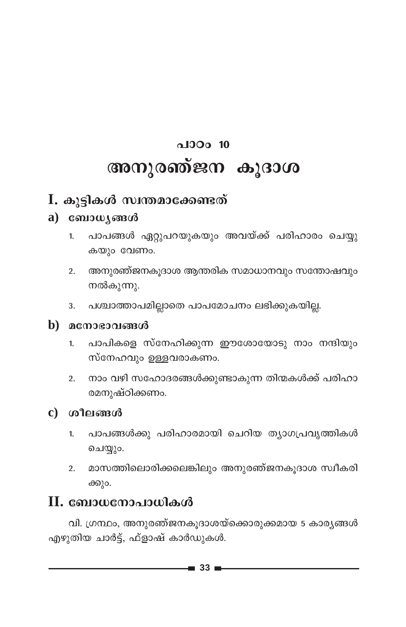# $\Omega$ <sub>0</sub> 10 അനുരഞ്ജന കൂദാശ

#### I. കൂട്ടികൾ സ്വന്തമാക്കേണ്ടത്

#### $a)$  computes  $a$

- പാപങ്ങൾ ഏറ്റുപറയുകയും അവയ്ക്ക് പരിഹാരം ചെയ്യു  $1.$ കയും വേണം.
- 2. അനുരഞ്ജനകുദാശ ആന്തരിക സമാധാനവും സന്തോഷവും നൽകുന്നു.
- പശ്ചാത്താപമില്ലാതെ പാപമോചനം ലഭിക്കുകയില്ല. 3.

#### $\mathbf b$ ) മനോഭാവങ്ങൾ

- പാപികളെ സ്നേഹിക്കുന്ന ഈശോയോടു നാം നന്ദിയും  $1.$ സ്നേഹവും ഉള്ളവരാകണം.
- നാം വഴി സഹോദരങ്ങൾക്കുണ്ടാകുന്ന തിന്മകൾക്ക് പരിഹാ  $2.$ രമനുഷ്ഠിക്കണം.

#### $c)$  ശീലങ്ങൾ

- പാപങ്ങൾക്കു പരിഹാരമായി ചെറിയ ത്യാഗപ്രവൃത്തികൾ  $1.$ ചെയ്യും.
- മാസത്തിലൊരിക്കലെങ്കിലും അനുരഞ്ജനകൂദാശ സ്വീകരി  $2.$ ക്കും.

#### II. ബോധനോപാധികൾ

വി. ഗ്രന്ഥം, അനുരഞ്ജനകൂദാശയ്ക്കൊരുക്കമായ 5 കാര്യങ്ങൾ എഴുതിയ ചാർട്ട്, ഫ്ളാഷ് കാർഡുകൾ.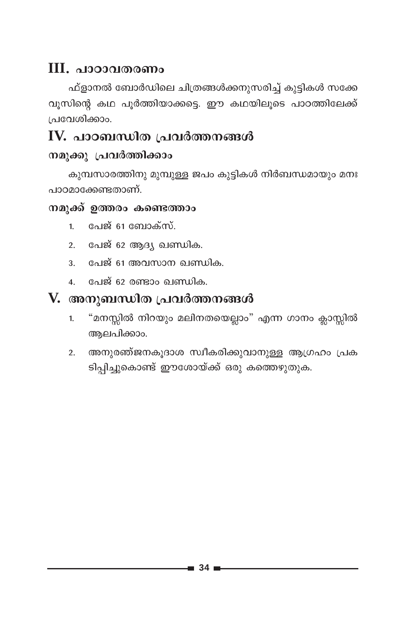#### $\mathbf{III}$ , <u>വാറാവതരണം</u>

ഫ്ളാനൽ ബോർഡിലെ ചിത്രങ്ങൾക്കനുസരിച്ച് കുട്ടികൾ സക്കേ വുസിന്റെ കഥ പൂർത്തിയാക്കട്ടെ. ഈ കഥയിലൂടെ പാഠത്തിലേക്ക് പ്രവേശിക്കാം.

#### IV. പാഠബന്ധിത പ്രവർത്തനങ്ങൾ

#### നമുക്കു പ്രവർത്തിക്കാം

കുമ്പസാരത്തിനു മുമ്പുള്ള ജപം കൂട്ടികൾ നിർബന്ധമായും മനഃ പാഠമാക്കേണ്ടതാണ്.

#### നമുക്ക് ഉത്തരം കണ്ടെത്താം

- പേജ് 61 ബോക്സ്.  $\mathbf{1}$
- പേജ് 62 ആദ്യ ഖണ്ഡിക.  $2<sup>1</sup>$
- 3. പേജ് 61 അവസാന ഖണ്ഡിക.
- 4. പേജ് 62 രണ്ടാം ഖണ്ഡിക.

- "മനസ്സിൽ നിറയും മലിനതയെല്ലാം" എന്ന ഗാനം ക്ലാസ്സിൽ  $1<sub>1</sub>$ ആലപിക്കാം.
- അനുരഞ്ജനകൂദാശ സ്ഥീകരിക്കുവാനുള്ള ആഗ്രഹം പ്രക  $\overline{2}$ . ടിപ്പിച്ചുകൊണ്ട് ഈശോയ്ക്ക് ഒരു കത്തെഴുതുക.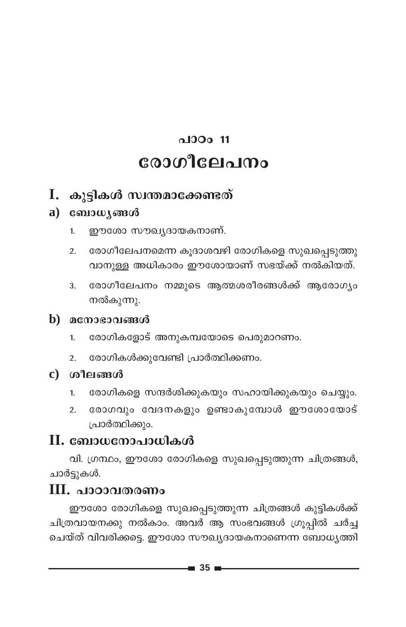## $0.1300111$ രോഗീലേപനം

#### I. കുട്ടികൾ സ്വന്തമാക്കേണ്ടത്

#### $a)$   $\cos\omega$   $\sin\omega$

- ഈശോ സൗഖ്യദായകനാണ്.  $1.$
- രോഗീലേപനമെന്ന കൂദാശവഴി രോഗികളെ സുഖപ്പെടുത്തു  $2.$ വാനുള്ള അധികാരം ഈശോയാണ് സഭയ്ക്ക് നൽകിയത്.
- രോഗീലേപനം നമ്മുടെ ആത്മശരീരങ്ങൾക്ക് ആരോഗ്യം 3. നൽകുന്നു.

#### b) മനോഭാവങ്ങൾ

- രോഗികളോട് അനുകമ്പയോടെ പെരുമാറണം.  $\mathbf{1}$
- രോഗികൾക്കുവേണ്ടി പ്രാർത്ഥിക്കണം.  $2.$

#### c) ശീലങ്ങൾ

- രോഗികളെ സന്ദർശിക്കുകയും സഹായിക്കുകയും ചെയ്യും.  $1.$
- രോഗവും വേദനകളും ഉണ്ടാകുമ്പോൾ ഈശോയോട്  $2.$ പ്രാർത്ഥിക്കും.

#### $\mathbf H$ . ബോധനോപാധികൾ

വി. ഗ്രന്ഥം, ഈശോ രോഗികളെ സുഖപ്പെടുത്തുന്ന ചിത്രങ്ങൾ, ചാർട്ടുകൾ.

#### $III.$  പാഠാവതരണം

ഈശോ രോഗികളെ സുഖപ്പെടുത്തുന്ന ചിത്രങ്ങൾ കുട്ടികൾക്ക് ചിത്രവായനക്കു നൽകാം. അവർ ആ സംഭവങ്ങൾ ഗ്രൂപ്പിൽ ചർച്ച ചെയ്ത് വിവരിക്കട്ടെ. ഈശോ സൗഖ്യദായകനാണെന്ന ബോധ്യത്തി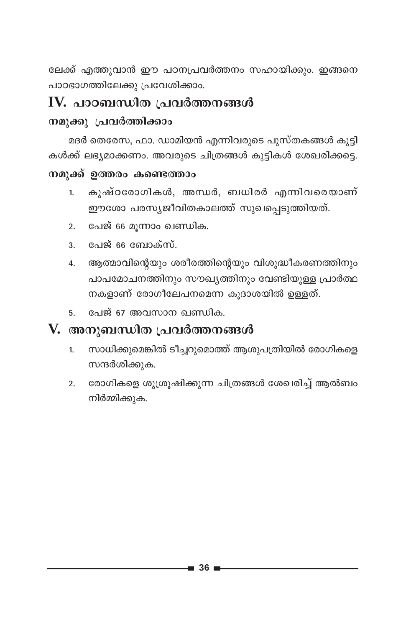ലേക്ക് എത്തുവാൻ ഈ പഠനപ്രവർത്തനം സഹായിക്കും. ഇങ്ങനെ പാഠഭാഗത്തിലേക്കു പ്രവേശിക്കാം.

#### IV. പാഠബന്ധിത പ്രവർത്തനങ്ങൾ

#### നമുക്കു പ്രവർത്തിക്കാം

മദർ തെരേസ, ഫാ. ഡാമിയൻ എന്നിവരുടെ പുസ്തകങ്ങൾ കുട്ടി കൾക്ക് ലഭ്യമാക്കണം. അവരുടെ ചിത്രങ്ങൾ കുട്ടികൾ ശേഖരിക്കട്ടെ.

#### നമുക്ക് ഉത്തരം കണ്ടെത്താം

- കുഷ്ഠരോഗികൾ, അന്ധർ, ബധിരർ എന്നിവരെയാണ്  $1.$ ഈശോ പരസ്യജീവിതകാലത്ത് സുഖപ്പെടുത്തിയത്.
- പേജ് 66 മുന്നാം ഖണ്ഡിക.  $\overline{2}$ .
- പേജ് 66 ബോക്സ്.  $3<sub>1</sub>$
- ആത്മാവിന്റെയും ശരീരത്തിന്റെയും വിശുദ്ധീകരണത്തിനും  $4.$ പാപമോചനത്തിനും സൗഖ്യത്തിനും വേണ്ടിയുള്ള പ്രാർത്ഥ നകളാണ് രോഗീലേപനമെന്ന കൂദാശയിൽ ഉള്ളത്.
- പേജ് 67 അവസാന ഖണ്ഡിക. 5.

- സാധിക്കുമെങ്കിൽ ടീച്ചറുമൊത്ത് ആശുപത്രിയിൽ രോഗികളെ  $1.$ സന്ദർശിക്കുക.
- രോഗികളെ ശുശ്രൂഷിക്കുന്ന ചിത്രങ്ങൾ ശേഖരിച്ച് ആൽബം  $\overline{2}$ . നിർമ്മിക്കുക.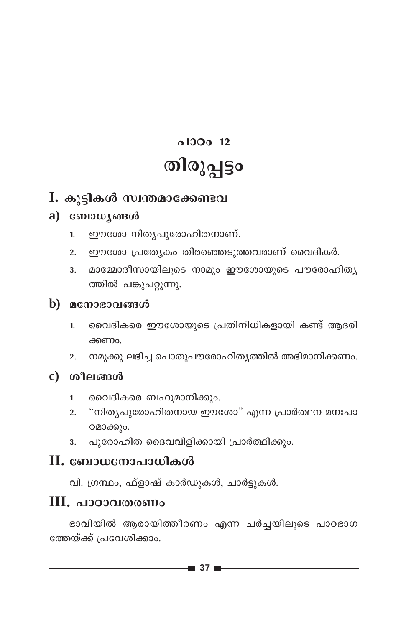# $0.100012$ തിരുപ്പട്ടം

#### I. കൂട്ടികൾ സ്വന്തമാക്കേണ്ടവ

#### $a)$   $\cos\omega$   $\sin\omega$

- ഈശോ നിതൃപുരോഹിതനാണ്.  $1<sup>1</sup>$
- ഈശോ പ്രത്യേകം തിരഞ്ഞെടുത്തവരാണ് വൈദികർ.  $2.$
- മാമ്മോദീസായിലൂടെ നാമും ഈശോയുടെ പൗരോഹിത്യ 3. ത്തിൽ പങ്കുപറ്റുന്നു.

#### $\mathbf b$ ) മനോഭാവങ്ങൾ

- വൈദികരെ ഈശോയുടെ പ്രതിനിധികളായി കണ്ട് ആദരി  $1.$ ക്കണം.
- നമുക്കു ലഭിച്ച പൊതുപൗരോഹിതൃത്തിൽ അഭിമാനിക്കണം.  $2.$
- $c)$  ശീലങ്ങൾ
	- വൈദികരെ ബഹുമാനിക്കും.  $1<sup>1</sup>$
	- "നിത്യപുരോഹിതനായ ഈശോ" എന്ന പ്രാർത്ഥന മനഃപാ  $2.$ ഠമാക്കും.
	- പുരോഹിത ദൈവവിളിക്കായി പ്രാർത്ഥിക്കും.  $\overline{3}$ .

#### $II.$  ബോധനോപാധികൾ

വി. ഗ്രന്ഥം, ഫ്ളാഷ് കാർഡുകൾ, ചാർട്ടുകൾ.

#### $III.$  പാഠാവതരണം

ഭാവിയിൽ ആരായിത്തീരണം എന്ന ചർച്ചയിലുടെ പാഠഭാഗ ത്തേയ്ക്ക് പ്രവേശിക്കാം.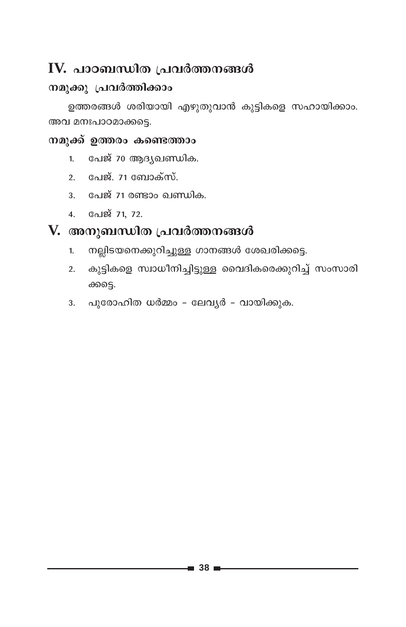#### $\mathbf{IV.}$  പാഠബന്ധിത പ്രവർത്തനങ്ങൾ

#### നമുക്കു പ്രവർത്തിക്കാം

ഉത്തരങ്ങൾ ശരിയായി എഴുതുവാൻ കുട്ടികളെ സഹായിക്കാം. അവ മനഃപാഠമാക്കട്ടെ.

#### നമുക്ക് ഉത്തരം കണ്ടെത്താം

- 1. പേജ് 70 ആദ്യഖണ്ഡിക.
- 2. പേജ്. 71 ബോക്സ്.
- 3. പേജ് 71 രണ്ടാം ഖണ്ഡിക.
- 4. Galg 71, 72.

- നല്ലിടയനെക്കുറിച്ചുള്ള ഗാനങ്ങൾ ശേഖരിക്കട്ടെ.  $1<sup>1</sup>$
- കുട്ടികളെ സ്വാധീനിച്ചിട്ടുള്ള വൈദികരെക്കുറിച്ച് സംസാരി  $2.$ ക്കട്ടെ.
- 3. പുരോഹിത ധർമ്മം ലേവൃർ വായിക്കുക.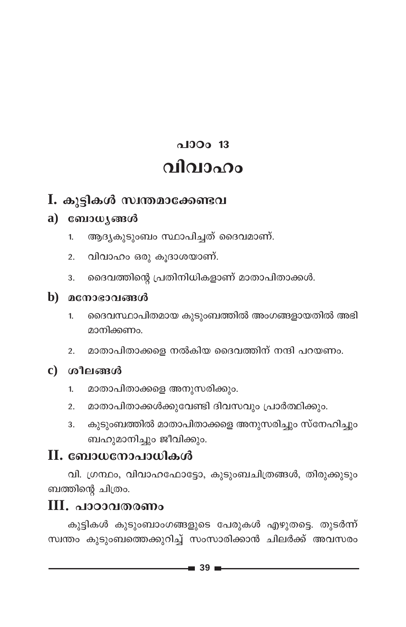## $\triangle$ 100 $\Omega$  13 വിവാഹം

#### I. കൂട്ടികൾ സ്വന്തമാക്കേണ്ടവ

#### $a)$  computes  $a$

- ആദ്യകൂടുംബം സ്ഥാപിച്ചത് ദൈവമാണ്.  $1<sub>1</sub>$
- വിവാഹം ഒരു കൂദാശയാണ്.  $2.$
- ദൈവത്തിന്റെ പ്രതിനിധികളാണ് മാതാപിതാക്കൾ. 3.

#### b) മനോഭാവങ്ങൾ

- ദൈവസ്ഥാപിതമായ കുടുംബത്തിൽ അംഗങ്ങളായതിൽ അഭി  $\mathbf{1}$ . മാനിക്കണം.
- മാതാപിതാക്കളെ നൽകിയ ദൈവത്തിന് നന്ദി പറയണം.  $2.$

#### c) ശീലങ്ങൾ

- മാതാപിതാക്കളെ അനുസരിക്കും.  $1.$
- മാതാപിതാക്കൾക്കുവേണ്ടി ദിവസവും പ്രാർത്ഥിക്കും.  $2.$
- കുടുംബത്തിൽ മാതാപിതാക്കളെ അനുസരിച്ചും സ്നേഹിച്ചും 3. ബഹുമാനിച്ചും ജീവിക്കും.

#### II. ബോധനോപാധികൾ

വി. ഗ്രന്ഥം, വിവാഹഫോട്ടോ, കുടുംബചിത്രങ്ങൾ, തിരുക്കുടും ബത്തിന്റെ ചിത്രം.

#### $III.$  പാഠാവതരണം

കുട്ടികൾ കുടുംബാംഗങ്ങളുടെ പേരുകൾ എഴുതട്ടെ. തുടർന്ന് സ്വന്തം കുടുംബത്തെക്കുറിച്ച് സംസാരിക്കാൻ ചിലർക്ക് അവസരം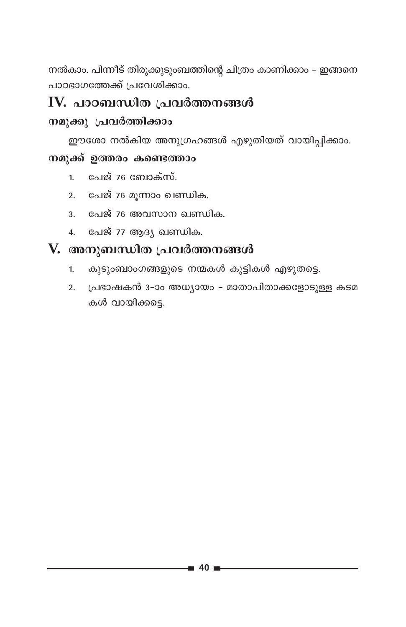നൽകാം. പിന്നീട് തിരുക്കുടുംബത്തിന്റെ ചിത്രം കാണിക്കാം – ഇങ്ങനെ പാഠഭാഗത്തേക്ക് പ്രവേശിക്കാം.

#### IV. പാഠബന്ധിത പ്രവർത്തനങ്ങൾ

#### നമുക്കു പ്രവർത്തിക്കാം

ഈശോ നൽകിയ അനുഗ്രഹങ്ങൾ എഴുതിയത് വായിപ്പിക്കാം.

#### നമുക്ക് ഉത്തരം കണ്ടെത്താം

- പേജ് 76 ബോക്സ്.  $1<sub>1</sub>$
- പേജ് 76 മൂന്നാം ഖണ്ഡിക.  $2.$
- 3. പേജ് 76 അവസാന ഖണ്ഡിക.
- 4. പേജ് 77 ആദ്യ ഖണ്ഡിക.

- കുടുംബാംഗങ്ങളുടെ നന്മകൾ കുട്ടികൾ എഴുതട്ടെ.  $1.$
- 2. പ്രഭാഷകൻ 3-ാം അധ്യായം മാതാപിതാക്കളോടുള്ള കടമ കൾ വായിക്കട്ടെ.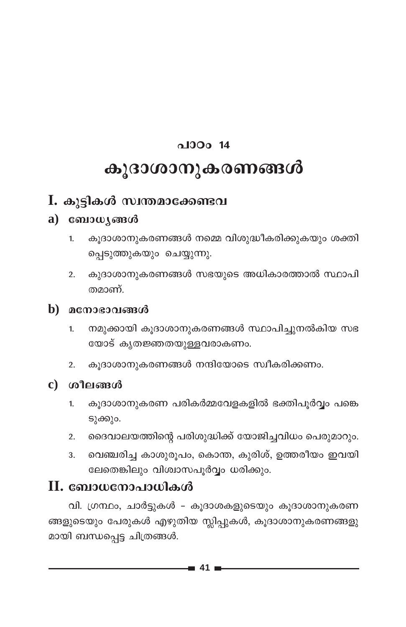## പാഠം  $14$ കൂദാശാനുകരണങ്ങൾ

#### I. കുട്ടികൾ സ്വന്തമാക്കേണ്ടവ

#### a) ബോധൃങ്ങൾ

- കൂദാശാനുകരണങ്ങൾ നമ്മെ വിശുദ്ധീകരിക്കുകയും ശക്തി  $\mathbf{1}$ പ്പെടുത്തുകയും ചെയ്യുന്നു.
- കുദാശാനുകരണങ്ങൾ സഭയുടെ അധികാരത്താൽ സ്ഥാപി  $2.$ തമാണ്.

#### $\mathbf b$ ) മനോഭാവങ്ങൾ

- നമുക്കായി കൂദാശാനുകരണങ്ങൾ സ്ഥാപിച്ചുനൽകിയ സഭ  $1.$ യോട് കൃതജ്ഞതയുള്ളവരാകണം.
- കൂദാശാനുകരണങ്ങൾ നന്ദിയോടെ സ്വീകരിക്കണം.  $2.$
- $c)$  ശീലങ്ങൾ
	- കൂദാശാനുകരണ പരികർമ്മവേളകളിൽ ഭക്തിപൂർവ്വം പങ്കെ  $1.$ ടുക്കും.
	- ദൈവാലയത്തിന്റെ പരിശുദ്ധിക്ക് യോജിച്ചവിധം പെരുമാറും.  $\overline{2}$ .
	- വെഞ്ചരിച്ച കാശുരൂപം, കൊന്ത, കുരിശ്, ഉത്തരീയം ഇവയി 3. ലേതെങ്കിലും വിശ്വാസപൂർവ്വം ധരിക്കും.

#### $\mathbf H$ . ബോധനോപാധികൾ

വി. ഗ്രന്ഥം, ചാർട്ടുകൾ - കൂദാശകളുടെയും കൂദാശാനുകരണ ങ്ങളുടെയും പേരുകൾ എഴുതിയ സ്ലിപ്പുകൾ, കൂദാശാനുകരണങ്ങളു മായി ബന്ധപ്പെട്ട ചിത്രങ്ങൾ.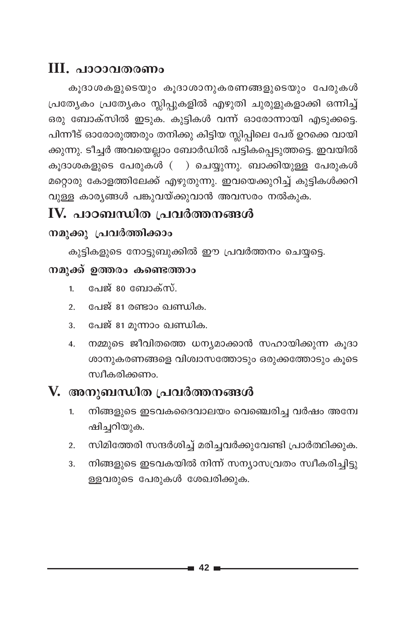#### III. പാഠാവതരണം

കൂദാശകളുടെയും കൂദാശാനുകരണങ്ങളുടെയും പേരുകൾ പ്രത്യേകം പ്രത്യേകം സ്ലിപ്പുകളിൽ എഴുതി ചുരുളുകളാക്കി ഒന്നിച്ച് ഒരു ബോക്സിൽ ഇടുക. കുട്ടികൾ വന്ന് ഓരോന്നായി എടുക്കട്ടെ. പിന്നീട് ഓരോരുത്തരും തനിക്കു കിട്ടിയ സ്ലിപ്പിലെ പേര് ഉറക്കെ വായി ക്കുന്നു. ടീച്ചർ അവയെല്ലാം ബോർഡിൽ പട്ടികപ്പെടുത്തട്ടെ. ഇവയിൽ കൂദാശകളുടെ പേരുകൾ ( ) ചെയ്യുന്നു. ബാക്കിയുള്ള പേരുകൾ മറ്റൊരു കോളത്തിലേക്ക് എഴുതുന്നു. ഇവയെക്കുറിച്ച് കുട്ടികൾക്കറി വുള്ള കാര്യങ്ങൾ പങ്കുവയ്ക്കുവാൻ അവസരം നൽകുക.

## IV. പാഠബന്ധിത പ്രവർത്തനങ്ങൾ

#### നമുക്കു പ്രവർത്തിക്കാം

കുട്ടികളുടെ നോട്ടുബുക്കിൽ ഈ പ്രവർത്തനം ചെയ്യട്ടെ.

#### നമുക്ക് ഉത്തരം കണ്ടെത്താം

- പേജ് 80 ബോക്സ്.  $1<sup>1</sup>$
- 2. പേജ് 81 രണ്ടാം ഖണ്ഡിക.
- പേജ് 81 മൂന്നാം ഖണ്ഡിക. 3.
- നമ്മുടെ ജീവിതത്തെ ധന്യമാക്കാൻ സഹായിക്കുന്ന കൂദാ  $\overline{4}$ . ശാനുകരണങ്ങളെ വിശ്വാസത്തോടും ഒരുക്കത്തോടും കൂടെ സ്വീകരിക്കണം.

- നിങ്ങളുടെ ഇടവകദൈവാലയം വെഞ്ചെരിച്ച വർഷം അന്വേ 1. ഷിച്ചറിയുക.
- സിമിത്തേരി സന്ദർശിച്ച് മരിച്ചവർക്കുവേണ്ടി പ്രാർത്ഥിക്കുക.  $2.$
- നിങ്ങളുടെ ഇടവകയിൽ നിന്ന് സന്യാസവ്രതം സ്വീകരിച്ചിട്ടു 3. ള്ളവരുടെ പേരുകൾ ശേഖരിക്കുക.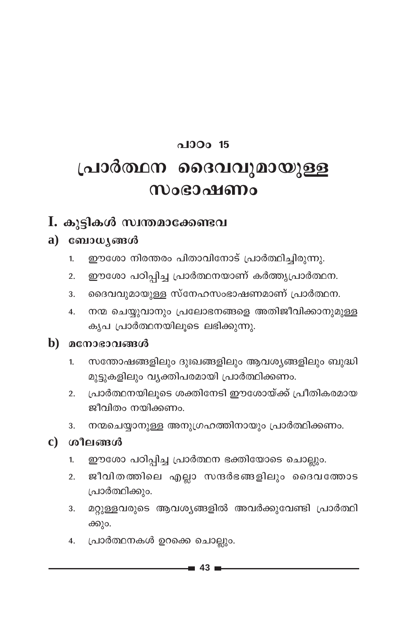## $0.100015$ **{]m¿∞\ ssZh-hp-am-bp≈ m**ocontomo

#### **I.** കൂട്ടികൾ സ്വന്തമാക്കേണ്ടവ

#### a) **canowy** and

- 1. ഈശോ നിരന്തരം പിതാവിനോട് പ്രാർത്ഥിച്ചിരുന്നു.
- 2. ഈശോ പഠിപ്പിച്ച പ്രാർത്ഥനയാണ് കർത്തൃപ്രാർത്ഥന.
- 3. ഒെെവവുമായുള്ള സ്നേഹസംഭാഷണമാണ് പ്രാർത്ഥന.
- 4. റനന്മ ചെയ്യുവാനും പ്രലോഭനങ്ങളെ അതിജീവിക്കാനുമുള്ള കൃപ പ്രാർത്ഥനയിലുടെ ലഭിക്കുന്നു.

#### $\mathbf{b}$ ) മനോഭാവങ്ങൾ

- 1. സന്തോഷങ്ങളിലും ദുഃഖങ്ങളിലും ആവശ്യങ്ങളിലും ബുദ്ധി മുട്ടുകളിലും വ്യക്തിപരമായി പ്രാർത്ഥിക്കണം.
- 2. പ്രാർത്ഥനയിലൂടെ ശക്തിനേടി ഈശോയ്ക്ക് പ്രീതികരമായ ജീവിതം നയിക്കണം.
- 3. നന്മചെയ്യാനുള്ള അനുഗ്രഹത്തിനായും പ്രാർത്ഥിക്കണം.

#### **c)** ശീലങ്ങൾ

- 1. ഈശോ പഠിപ്പിച്ച പ്രാർത്ഥന ഭക്തിയോടെ ചൊല്ലും.
- 2. ജീവിതത്തിലെ എല്ലാ സന്ദർഭങ്ങളിലും ദൈവത്തോട പ്രാർത്ഥിക്കും.
- 3. മറ്റുള്ളവരുടെ ആവശ്യങ്ങളിൽ അവർക്കുവേണ്ടി പ്രാർത്ഥ<mark>ി</mark> ക്കും.
- 4. (പാർത്ഥനകൾ ഉറക്കെ ചൊല്ലും.

**43**